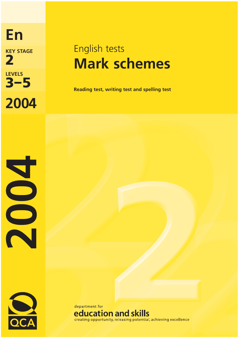**2004 2 KEY STAGE LEVELS**

**En**

# English tests **Mark schemes**

**3 Reading test, writing test and spelling test** 



2002

department for education and skills creating opportunity, releasing potential, achieving excellence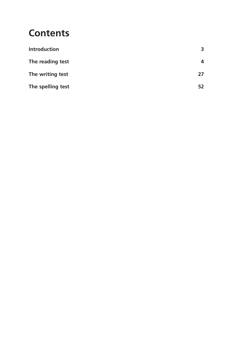# **Contents**

| <b>Introduction</b> | 3  |
|---------------------|----|
| The reading test    | 4  |
| The writing test    | 27 |
| The spelling test   |    |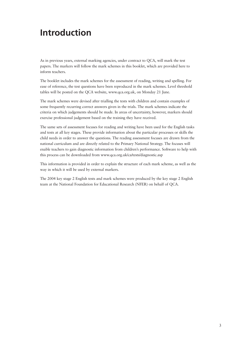# **Introduction**

As in previous years, external marking agencies, under contract to QCA, will mark the test papers. The markers will follow the mark schemes in this booklet, which are provided here to inform teachers.

The booklet includes the mark schemes for the assessment of reading, writing and spelling. For ease of reference, the test questions have been reproduced in the mark schemes. Level threshold tables will be posted on the QCA website, www.qca.org.uk, on Monday 21 June.

The mark schemes were devised after trialling the tests with children and contain examples of some frequently recurring correct answers given in the trials. The mark schemes indicate the criteria on which judgements should be made. In areas of uncertainty, however, markers should exercise professional judgement based on the training they have received.

The same sets of assessment focuses for reading and writing have been used for the English tasks and tests at all key stages. These provide information about the particular processes or skills the child needs in order to answer the questions. The reading assessment focuses are drawn from the national curriculum and are directly related to the Primary National Strategy. The focuses will enable teachers to gain diagnostic information from children's performance. Software to help with this process can be downloaded from www.qca.org.uk/ca/tests/diagnostic.asp

This information is provided in order to explain the structure of each mark scheme, as well as the way in which it will be used by external markers.

The 2004 key stage 2 English tests and mark schemes were produced by the key stage 2 English team at the National Foundation for Educational Research (NFER) on behalf of QCA.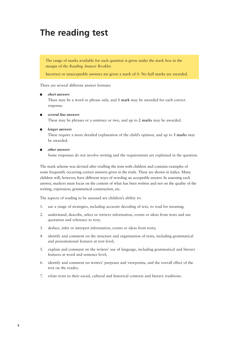# **The reading test**

The range of marks available for each question is given under the mark box in the margin of the *Reading Answer Booklet*.

Incorrect or unacceptable answers are given a mark of 0. No half marks are awarded.

There are several different answer formats:

#### ■ *short answers*

These may be a word or phrase only, and **1 mark** may be awarded for each correct response.

■ *several line answers*

These may be phrases or a sentence or two, and up to **2 marks** may be awarded.

#### ■ *longer answers*

These require a more detailed explanation of the child's opinion, and up to **3 marks** may be awarded.

#### ■ *other answers*

Some responses do not involve writing and the requirements are explained in the question.

The mark scheme was devised after trialling the tests with children and contains examples of some frequently occurring correct answers given in the trials. These are shown in italics. Many children will, however, have different ways of wording an acceptable answer. In assessing each answer, markers must focus on the content of what has been written and not on the quality of the writing, expression, grammatical construction, etc.

The aspects of reading to be assessed are children's ability to:

- 1. use a range of strategies, including accurate decoding of text, to read for meaning;
- 2. understand, describe, select or retrieve information, events or ideas from texts and use quotation and reference to text;
- 3. deduce, infer or interpret information, events or ideas from texts;
- 4. identify and comment on the structure and organisation of texts, including grammatical and presentational features at text level;
- 5. explain and comment on the writers' use of language, including grammatical and literary features at word and sentence level;
- 6. identify and comment on writers' purposes and viewpoints, and the overall effect of the text on the reader;
- 7. relate texts to their social, cultural and historical contexts and literary traditions.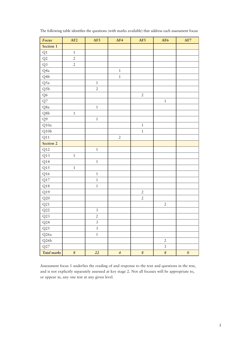| Focus                   | AF2              | AF3            | AF4            | AF5            | AF <sub>6</sub> | AF7       |
|-------------------------|------------------|----------------|----------------|----------------|-----------------|-----------|
| Section 1               |                  |                |                |                |                 |           |
| $\mathrm{Q}1$           | $\,1\,$          |                |                |                |                 |           |
| $\mathrm{Q}2$           | $\sqrt{2}$       |                |                |                |                 |           |
| Q <sub>3</sub>          | $\overline{2}$   |                |                |                |                 |           |
| Q4a                     |                  |                | $\,1\,$        |                |                 |           |
| Q4b                     |                  |                | $\,1\,$        |                |                 |           |
| $\mathrm{Q}5\mathrm{a}$ |                  | $\,1\,$        |                |                |                 |           |
| Q5b                     |                  | $\overline{2}$ |                |                |                 |           |
| Q6                      |                  |                |                | $\overline{2}$ |                 |           |
| ${\sf Q}7$              |                  |                |                |                | $\,1\,$         |           |
| $\rm Q8a$               |                  | $\,1\,$        |                |                |                 |           |
| $\rm Q8b$               | $\,1$            |                |                |                |                 |           |
| Q <sup>9</sup>          |                  | $\,1\,$        |                |                |                 |           |
| $\rm Q10a$              |                  |                |                | $\,1$          |                 |           |
| Q10b                    |                  |                |                | $\mathbf 1$    |                 |           |
| Q11                     |                  |                | $\sqrt{2}$     |                |                 |           |
| Section 2               |                  |                |                |                |                 |           |
| Q12                     |                  | $\,1\,$        |                |                |                 |           |
| $\rm Q13$               | $\,1\,$          |                |                |                |                 |           |
| Q14                     |                  | $\,1\,$        |                |                |                 |           |
| Q15                     | $\,1\,$          |                |                |                |                 |           |
| $\rm Q16$               |                  | $\,1\,$        |                |                |                 |           |
| Q17                     |                  | $\,1\,$        |                |                |                 |           |
| $\rm Q18$               |                  | $\,1\,$        |                |                |                 |           |
| Q19                     |                  |                |                | $\sqrt{2}$     |                 |           |
| Q20                     |                  |                |                | $\overline{2}$ |                 |           |
| Q21                     |                  |                |                |                | $\sqrt{2}$      |           |
| Q22                     |                  | $\overline{3}$ |                |                |                 |           |
| Q23                     |                  | $\overline{2}$ |                |                |                 |           |
| Q24                     |                  | $\overline{3}$ |                |                |                 |           |
| Q25                     |                  | $\mathfrak{Z}$ |                |                |                 |           |
| $\rm Q26a$              |                  | $\,1\,$        |                |                |                 |           |
| Q26b                    |                  |                |                |                | $\overline{2}$  |           |
| Q27                     |                  |                |                |                | $\mathfrak{Z}$  |           |
| Total marks             | $\boldsymbol{8}$ | 22             | $\overline{4}$ | $\pmb{8}$      | $\pmb{8}$       | $\pmb{0}$ |

The following table identifies the questions (with marks available) that address each assessment focus:

Assessment focus 1 underlies the reading of and response to the text and questions in the test, and is not explicitly separately assessed at key stage 2. Not all focuses will be appropriate to, or appear in, any one test at any given level.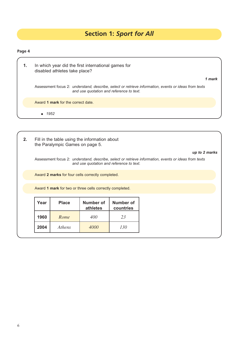# **Section 1:** *Sport for All*

| 1. | In which year did the first international games for<br>disabled athletes take place?                                                             |        |
|----|--------------------------------------------------------------------------------------------------------------------------------------------------|--------|
|    |                                                                                                                                                  | 1 mark |
|    | Assessment focus 2: understand, describe, select or retrieve information, events or ideas from texts<br>and use quotation and reference to text. |        |
|    | Award 1 mark for the correct date.                                                                                                               |        |
|    | $\bullet$ 1952                                                                                                                                   |        |
|    |                                                                                                                                                  |        |

| 2. |                                                                         | the Paralympic Games on page 5. | Fill in the table using the information about            |     |                                                                                                                       |
|----|-------------------------------------------------------------------------|---------------------------------|----------------------------------------------------------|-----|-----------------------------------------------------------------------------------------------------------------------|
|    |                                                                         |                                 | and use quotation and reference to text.                 |     | up to 2 marks<br>Assessment focus 2: understand, describe, select or retrieve information, events or ideas from texts |
|    |                                                                         |                                 | Award 2 marks for four cells correctly completed.        |     |                                                                                                                       |
|    |                                                                         |                                 | Award 1 mark for two or three cells correctly completed. |     |                                                                                                                       |
|    | Year<br>Number of<br>Number of<br><b>Place</b><br>athletes<br>countries |                                 |                                                          |     |                                                                                                                       |
|    | 1960                                                                    | Rome                            | 400                                                      | 23  |                                                                                                                       |
|    | 2004                                                                    | Athens                          | 4000                                                     | 130 |                                                                                                                       |
|    |                                                                         |                                 |                                                          |     |                                                                                                                       |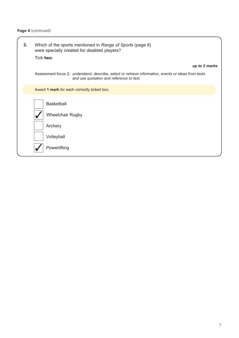| 3 <sub>1</sub> | Which of the sports mentioned in Range of Sports (page 6)<br>were specially created for disabled players?                                        |
|----------------|--------------------------------------------------------------------------------------------------------------------------------------------------|
|                | Tick two.                                                                                                                                        |
|                | up to 2 marks                                                                                                                                    |
|                | Assessment focus 2: understand, describe, select or retrieve information, events or ideas from texts<br>and use quotation and reference to text. |
|                | Award 1 mark for each correctly ticked box.                                                                                                      |
|                | <b>Basketball</b>                                                                                                                                |
|                | Wheelchair Rugby                                                                                                                                 |
|                | Archery                                                                                                                                          |
|                | Volleyball                                                                                                                                       |
|                | Powerlifting                                                                                                                                     |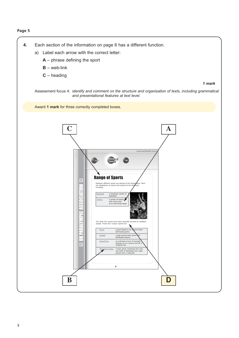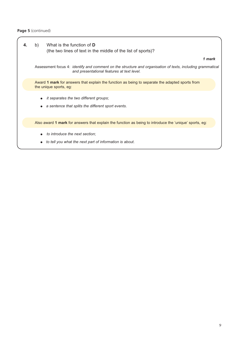| b) | What is the function of D<br>(the two lines of text in the middle of the list of sports)?                                                                       |
|----|-----------------------------------------------------------------------------------------------------------------------------------------------------------------|
|    | 1 mark                                                                                                                                                          |
|    | Assessment focus 4: <i>identify and comment on the structure and organisation of texts, including grammatical</i><br>and presentational features at text level. |
|    | Award 1 mark for answers that explain the function as being to separate the adapted sports from<br>the unique sports, eg:                                       |
|    | <i>it separates the two different groups;</i>                                                                                                                   |
|    | a sentence that splits the different sport events.                                                                                                              |
|    | Also award 1 mark for answers that explain the function as being to introduce the 'unique' sports, eg:                                                          |
|    | to introduce the next section;                                                                                                                                  |
|    | to tell you what the next part of information is about.                                                                                                         |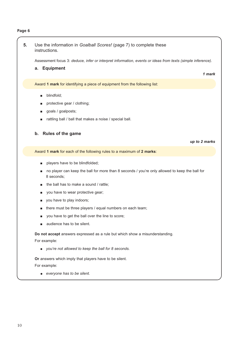| 5.<br>Use the information in Goalball Scores! (page 7) to complete these<br>instructions.<br><b>Equipment</b><br>a.<br>Award 1 mark for identifying a piece of equipment from the following list:<br>blindfold;<br>п<br>protective gear / clothing;<br>п<br>goals / goalposts;<br>$\blacksquare$<br>rattling ball / ball that makes a noise / special ball.<br><b>Rules of the game</b><br>b.<br>up to 2 marks<br>Award 1 mark for each of the following rules to a maximum of 2 marks:<br>players have to be blindfolded;<br>$\blacksquare$<br>no player can keep the ball for more than 8 seconds / you're only allowed to keep the ball for<br>8 seconds;<br>the ball has to make a sound / rattle;<br>п<br>you have to wear protective gear;<br>$\blacksquare$<br>you have to play indoors;<br>$\blacksquare$<br>there must be three players / equal numbers on each team;<br>you have to get the ball over the line to score;<br>audience has to be silent.<br>Do not accept answers expressed as a rule but which show a misunderstanding.<br>For example:<br>• you're not allowed to keep the ball for 8 seconds.<br>Or answers which imply that players have to be silent.<br>For example: |                                                                                                            |
|----------------------------------------------------------------------------------------------------------------------------------------------------------------------------------------------------------------------------------------------------------------------------------------------------------------------------------------------------------------------------------------------------------------------------------------------------------------------------------------------------------------------------------------------------------------------------------------------------------------------------------------------------------------------------------------------------------------------------------------------------------------------------------------------------------------------------------------------------------------------------------------------------------------------------------------------------------------------------------------------------------------------------------------------------------------------------------------------------------------------------------------------------------------------------------------------------|------------------------------------------------------------------------------------------------------------|
|                                                                                                                                                                                                                                                                                                                                                                                                                                                                                                                                                                                                                                                                                                                                                                                                                                                                                                                                                                                                                                                                                                                                                                                                    |                                                                                                            |
|                                                                                                                                                                                                                                                                                                                                                                                                                                                                                                                                                                                                                                                                                                                                                                                                                                                                                                                                                                                                                                                                                                                                                                                                    | Assessment focus 3: deduce, infer or interpret information, events or ideas from texts (simple inference). |
|                                                                                                                                                                                                                                                                                                                                                                                                                                                                                                                                                                                                                                                                                                                                                                                                                                                                                                                                                                                                                                                                                                                                                                                                    |                                                                                                            |
|                                                                                                                                                                                                                                                                                                                                                                                                                                                                                                                                                                                                                                                                                                                                                                                                                                                                                                                                                                                                                                                                                                                                                                                                    | 1 mark                                                                                                     |
|                                                                                                                                                                                                                                                                                                                                                                                                                                                                                                                                                                                                                                                                                                                                                                                                                                                                                                                                                                                                                                                                                                                                                                                                    |                                                                                                            |
|                                                                                                                                                                                                                                                                                                                                                                                                                                                                                                                                                                                                                                                                                                                                                                                                                                                                                                                                                                                                                                                                                                                                                                                                    |                                                                                                            |
|                                                                                                                                                                                                                                                                                                                                                                                                                                                                                                                                                                                                                                                                                                                                                                                                                                                                                                                                                                                                                                                                                                                                                                                                    |                                                                                                            |
|                                                                                                                                                                                                                                                                                                                                                                                                                                                                                                                                                                                                                                                                                                                                                                                                                                                                                                                                                                                                                                                                                                                                                                                                    |                                                                                                            |
|                                                                                                                                                                                                                                                                                                                                                                                                                                                                                                                                                                                                                                                                                                                                                                                                                                                                                                                                                                                                                                                                                                                                                                                                    |                                                                                                            |
|                                                                                                                                                                                                                                                                                                                                                                                                                                                                                                                                                                                                                                                                                                                                                                                                                                                                                                                                                                                                                                                                                                                                                                                                    |                                                                                                            |
|                                                                                                                                                                                                                                                                                                                                                                                                                                                                                                                                                                                                                                                                                                                                                                                                                                                                                                                                                                                                                                                                                                                                                                                                    |                                                                                                            |
|                                                                                                                                                                                                                                                                                                                                                                                                                                                                                                                                                                                                                                                                                                                                                                                                                                                                                                                                                                                                                                                                                                                                                                                                    |                                                                                                            |
|                                                                                                                                                                                                                                                                                                                                                                                                                                                                                                                                                                                                                                                                                                                                                                                                                                                                                                                                                                                                                                                                                                                                                                                                    |                                                                                                            |
|                                                                                                                                                                                                                                                                                                                                                                                                                                                                                                                                                                                                                                                                                                                                                                                                                                                                                                                                                                                                                                                                                                                                                                                                    |                                                                                                            |
|                                                                                                                                                                                                                                                                                                                                                                                                                                                                                                                                                                                                                                                                                                                                                                                                                                                                                                                                                                                                                                                                                                                                                                                                    |                                                                                                            |
|                                                                                                                                                                                                                                                                                                                                                                                                                                                                                                                                                                                                                                                                                                                                                                                                                                                                                                                                                                                                                                                                                                                                                                                                    |                                                                                                            |
|                                                                                                                                                                                                                                                                                                                                                                                                                                                                                                                                                                                                                                                                                                                                                                                                                                                                                                                                                                                                                                                                                                                                                                                                    |                                                                                                            |
|                                                                                                                                                                                                                                                                                                                                                                                                                                                                                                                                                                                                                                                                                                                                                                                                                                                                                                                                                                                                                                                                                                                                                                                                    |                                                                                                            |
|                                                                                                                                                                                                                                                                                                                                                                                                                                                                                                                                                                                                                                                                                                                                                                                                                                                                                                                                                                                                                                                                                                                                                                                                    |                                                                                                            |
|                                                                                                                                                                                                                                                                                                                                                                                                                                                                                                                                                                                                                                                                                                                                                                                                                                                                                                                                                                                                                                                                                                                                                                                                    |                                                                                                            |
|                                                                                                                                                                                                                                                                                                                                                                                                                                                                                                                                                                                                                                                                                                                                                                                                                                                                                                                                                                                                                                                                                                                                                                                                    |                                                                                                            |
|                                                                                                                                                                                                                                                                                                                                                                                                                                                                                                                                                                                                                                                                                                                                                                                                                                                                                                                                                                                                                                                                                                                                                                                                    |                                                                                                            |
|                                                                                                                                                                                                                                                                                                                                                                                                                                                                                                                                                                                                                                                                                                                                                                                                                                                                                                                                                                                                                                                                                                                                                                                                    |                                                                                                            |
|                                                                                                                                                                                                                                                                                                                                                                                                                                                                                                                                                                                                                                                                                                                                                                                                                                                                                                                                                                                                                                                                                                                                                                                                    |                                                                                                            |
|                                                                                                                                                                                                                                                                                                                                                                                                                                                                                                                                                                                                                                                                                                                                                                                                                                                                                                                                                                                                                                                                                                                                                                                                    |                                                                                                            |
|                                                                                                                                                                                                                                                                                                                                                                                                                                                                                                                                                                                                                                                                                                                                                                                                                                                                                                                                                                                                                                                                                                                                                                                                    |                                                                                                            |
|                                                                                                                                                                                                                                                                                                                                                                                                                                                                                                                                                                                                                                                                                                                                                                                                                                                                                                                                                                                                                                                                                                                                                                                                    |                                                                                                            |
|                                                                                                                                                                                                                                                                                                                                                                                                                                                                                                                                                                                                                                                                                                                                                                                                                                                                                                                                                                                                                                                                                                                                                                                                    | everyone has to be silent.                                                                                 |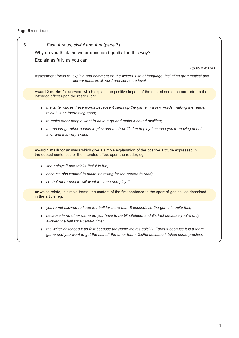#### Page 6 (continued)

#### **6.** *Fast, furious, skilful and fun!* (page 7)

Why do you think the writer described goalball in this way?

Explain as fully as you can.

#### *up to 2 marks*

Assessment focus 5: *explain and comment on the writers' use of language, including grammatical and literary features at word and sentence level.* 

Award **2 marks** for answers which explain the positive impact of the quoted sentence **and** refer to the intended effect upon the reader, eg:

- *the writer chose these words because it sums up the game in a few words, making the reader think it is an interesting sport*;
- *to make other people want to have a go and make it sound exciting*;
- *to encourage other people to play and to show it's fun to play because you're moving about a lot and it is very skilful*.

Award **1 mark** for answers which give a simple explanation of the positive attitude expressed in the quoted sentences or the intended effect upon the reader, eg:

- *she enjoys it and thinks that it is fun;*
- because she wanted to make it exciting for the person to read;
- so that more people will want to come and play it.

**or** which relate, in simple terms, the content of the first sentence to the sport of goalball as described in the article, eg:

- *you're not allowed to keep the ball for more than 8 seconds so the game is quite fast;*
- *because in no other game do you have to be blindfolded, and it's fast because you're only allowed the ball for a certain time;*
- *the writer described it as fast because the game moves quickly. Furious because it is a team game and you want to get the ball off the other team. Skilful because it takes some practice.*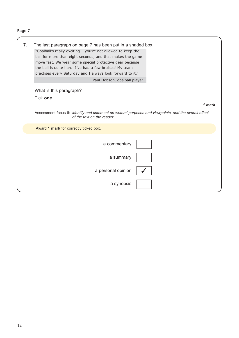| 7. | The last paragraph on page 7 has been put in a shaded box.<br>"Goalball's really exciting - you're not allowed to keep the<br>ball for more than eight seconds, and that makes the game<br>move fast. We wear some special protective gear because<br>the ball is quite hard. I've had a few bruises! My team<br>practises every Saturday and I always look forward to it."<br>Paul Dobson, goalball player |        |
|----|-------------------------------------------------------------------------------------------------------------------------------------------------------------------------------------------------------------------------------------------------------------------------------------------------------------------------------------------------------------------------------------------------------------|--------|
|    | What is this paragraph?                                                                                                                                                                                                                                                                                                                                                                                     |        |
|    | Tick one.                                                                                                                                                                                                                                                                                                                                                                                                   |        |
|    |                                                                                                                                                                                                                                                                                                                                                                                                             | 1 mark |
|    | Assessment focus 6: identify and comment on writers' purposes and viewpoints, and the overall effect<br>of the text on the reader.                                                                                                                                                                                                                                                                          |        |
|    | Award 1 mark for correctly ticked box.                                                                                                                                                                                                                                                                                                                                                                      |        |
|    | a commentary                                                                                                                                                                                                                                                                                                                                                                                                |        |
|    | a summary                                                                                                                                                                                                                                                                                                                                                                                                   |        |
|    | a personal opinion                                                                                                                                                                                                                                                                                                                                                                                          |        |
|    | a synopsis                                                                                                                                                                                                                                                                                                                                                                                                  |        |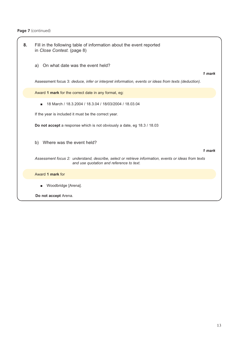| 8. | Fill in the following table of information about the event reported<br>in Close Contest. (page 8)                                                |        |
|----|--------------------------------------------------------------------------------------------------------------------------------------------------|--------|
|    | On what date was the event held?<br>a)                                                                                                           | 1 mark |
|    | Assessment focus 3: deduce, infer or interpret information, events or ideas from texts (deduction).                                              |        |
|    | Award 1 mark for the correct date in any format, eg:                                                                                             |        |
|    | 18 March / 18.3.2004 / 18.3.04 / 18/03/2004 / 18.03.04<br>п                                                                                      |        |
|    | If the year is included it must be the correct year.                                                                                             |        |
|    | <b>Do not accept</b> a response which is not obviously a date, eg 18.3 / 18.03                                                                   |        |
|    | Where was the event held?<br>b)                                                                                                                  |        |
|    | Assessment focus 2: understand, describe, select or retrieve information, events or ideas from texts<br>and use quotation and reference to text. | 1 mark |
|    | Award 1 mark for                                                                                                                                 |        |
|    | Woodbridge [Arena].<br>$\blacksquare$                                                                                                            |        |
|    | Do not accept Arena.                                                                                                                             |        |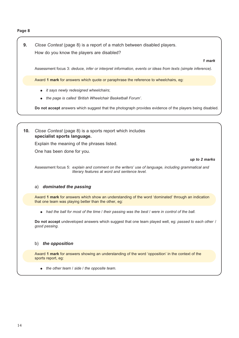#### **Page 8**

### **9.** *Close Contest* (page 8) is a report of a match between disabled players. How do you know the players are disabled?

*1 mark*

Assessment focus 3: *deduce, infer or interpret information, events or ideas from texts (simple inference).*

Award **1 mark** for answers which quote or paraphrase the reference to wheelchairs, eg:

- *it says newly redesigned wheelchairs*;
- *the page is called 'British Wheelchair Basketball Forum'*.

**Do not accept** answers which suggest that the photograph provides evidence of the players being disabled.

**10.** *Close Contest* (page 8) is a sports report which includes **specialist sports language.**

Explain the meaning of the phrases listed.

One has been done for you.

#### *up to 2 marks*

Assessment focus 5: *explain and comment on the writers' use of language, including grammatical and literary features at word and sentence level.* 

#### a) *dominated the passing*

Award **1 mark** for answers which show an understanding of the word 'dominated' through an indication that one team was playing better than the other, eg:

● *had the ball for most of the time / their passing was the best / were in control of the ball.* 

**Do not accept** undeveloped answers which suggest that one team played well, eg: *passed to each other* / *good passing*.

#### b) *the opposition*

Award **1 mark** for answers showing an understanding of the word 'opposition' in the context of the sports report, eg:

● *the other team / side / the opposite team.*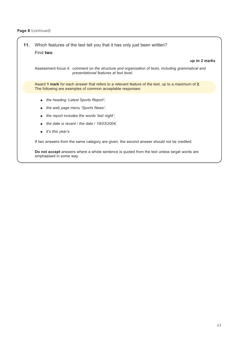**11.** Which features of the text tell you that it has only just been written? Find **two**.

#### *up to 2 marks*

Assessment focus 4: *comment on the structure and organisation of texts, including grammatical and presentational features at text level.* 

Award **1 mark** for each answer that refers to a relevant feature of the text, up to a maximum of **2**. The following are examples of common acceptable responses:

- *the heading 'Latest Sports Report'*;
- *the web page menu 'Sports News'*;
- *the report includes the words 'last night'*;
- *the date is recent / the date / 19/03/2004*;
- *it's this year's.*

If two answers from the same category are given, the second answer should not be credited.

**Do not accept** answers where a whole sentence is quoted from the text unless target words are emphasised in some way.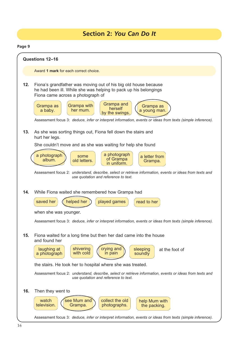# **Section 2:** *You Can Do It*

**Page 9**

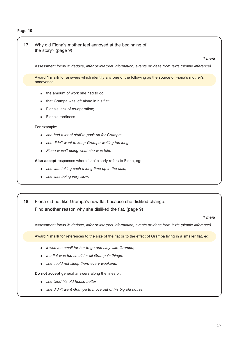#### **Page 10**

| 17. | Why did Fiona's mother feel annoyed at the beginning of<br>the story? (page 9)<br>1 mark                                                                                                                                                                                                                                                                                                                                                            |
|-----|-----------------------------------------------------------------------------------------------------------------------------------------------------------------------------------------------------------------------------------------------------------------------------------------------------------------------------------------------------------------------------------------------------------------------------------------------------|
|     | Assessment focus 3: deduce, infer or interpret information, events or ideas from texts (simple inference).                                                                                                                                                                                                                                                                                                                                          |
|     | Award 1 mark for answers which identify any one of the following as the source of Fiona's mother's<br>annoyance:                                                                                                                                                                                                                                                                                                                                    |
|     | the amount of work she had to do;<br>that Grampa was left alone in his flat;<br>Fiona's lack of co-operation;<br>Fiona's tardiness.<br>For example:<br>she had a lot of stuff to pack up for Grampa;<br>she didn't want to keep Grampa waiting too long;<br>Fiona wasn't doing what she was told.<br>Also accept responses where 'she' clearly refers to Fiona, eg:<br>she was taking such a long time up in the attic;<br>she was being very slow. |
| 18. | Fiona did not like Grampa's new flat because she disliked change.<br>Find another reason why she disliked the flat. (page 9)                                                                                                                                                                                                                                                                                                                        |
|     | 1 mark<br>Assessment focus 3: deduce, infer or interpret information, events or ideas from texts (simple inference).                                                                                                                                                                                                                                                                                                                                |
|     | Award 1 mark for references to the size of the flat or to the effect of Grampa living in a smaller flat, eg:                                                                                                                                                                                                                                                                                                                                        |

- *it was too small for her to go and stay with Grampa*;
- *the flat was too small for all Grampa's things*;
- *she could not sleep there every weekend.*

**Do not accept** general answers along the lines of:

- *she liked his old house better*;
- *she didn't want Grampa to move out of his big old house.*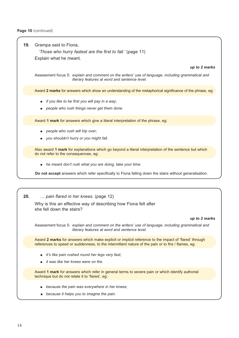#### **19.** Grampa said to Fiona,

*'Those who hurry fastest are the first to fall.'* (page 11) Explain what he meant.

*up to 2 marks*

Assessment focus 5: *explain and comment on the writers' use of language, including grammatical and literary features at word and sentence level.* 

Award **2 marks** for answers which show an understanding of the metaphorical significance of the phrase, eg:

- *if you like to be first you will pay in a way*;
- people who rush things never get them done.

Award **1 mark** for answers which give a literal interpretation of the phrase, eg:

- *people who rush will trip over*;
- *you shouldn't hurry or you might fall.*

Also award **1 mark** for explanations which go beyond a literal interpretation of the sentence but which do not refer to the consequences, eg:

● *he meant don't rush what you are doing, take your time.*

**Do not accept** answers which refer specifically to Fiona falling down the stairs without generalisation.

#### **20.** *… pain flared in her knees.* (page 12)

Why is this an effective way of describing how Fiona felt after she fell down the stairs?

#### *up to 2 marks*

Assessment focus 5: *explain and comment on the writers' use of language, including grammatical and literary features at word and sentence level.*

Award **2 marks** for answers which make explicit or implicit reference to the impact of 'flared' through references to speed or suddenness, to the intermittent nature of the pain or to fire / flames, eg:

- *it's like pain rushed round her legs very fast*;
- *it was like her knees were on fire.*

Award **1 mark** for answers which refer in general terms to severe pain or which identify authorial technique but do not relate it to 'flared', eg:

- *because the pain was everywhere in her knees*;
- *because it helps you to imagine the pain.*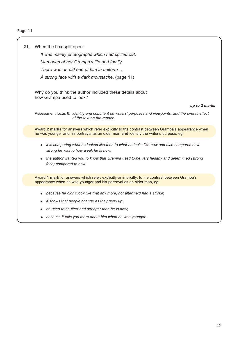#### **Page 11**

**21.** When the box split open:

*It was mainly photographs which had spilled out.* 

*Memories of her Grampa's life and family.*

*There was an old one of him in uniform …* 

*A strong face with a dark moustache*. (page 11)

Why do you think the author included these details about how Grampa used to look?

*up to 2 marks*

Assessment focus 6: *identify and comment on writers' purposes and viewpoints, and the overall effect of the text on the reader.* 

Award **2 marks** for answers which refer explicitly to the contrast between Grampa's appearance when he was younger and his portrayal as an older man **and** identify the writer's purpose, eg:

- *it is comparing what he looked like then to what he looks like now and also compares how strong he was to how weak he is now*;
- *the author wanted you to know that Grampa used to be very healthy and determined (strong face) compared to now.*

Award **1 mark** for answers which refer, explicitly or implicitly, to the contrast between Grampa's appearance when he was younger and his portrayal as an older man, eg:

- because he didn't look like that any more, not after he'd had a stroke;
- *it shows that people change as they grow up*;
- he used to be fitter and stronger than he is now;
- *because it tells you more about him when he was younger*.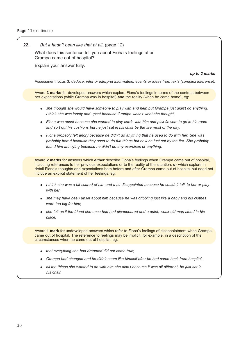#### Page 11 (continued)

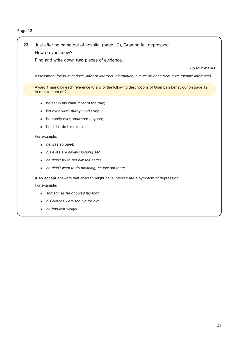#### **Page 12**

## **23.** Just after he came out of hospital (page 12), Grampa felt depressed. How do you know?

Find and write down **two** pieces of evidence.

#### *up to 2 marks*

Assessment focus 3: *deduce, infer or interpret information, events or ideas from texts (simple inference).*

Award **1 mark** for each reference to any of the following descriptions of Grampa's behaviour on page 12, to a maximum of **2**:

- he sat in his chair most of the day;
- his eyes were always sad / vague;
- he hardly ever answered anyone;
- he didn't do his exercises.

#### For example:

- *he was so quiet*;
- *his eyes are always looking sad*;
- *he didn't try to get himself better*;
- *he didn't want to do anything, he just sat there.*

**Also accept** answers that children might have inferred are a symptom of depression.

For example:

- *sometimes he dribbled his food*;
- his clothes were too big for him;
- *he had lost weight.*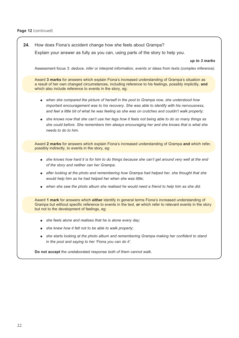**24.** How does Fiona's accident change how she feels about Grampa? Explain your answer as fully as you can, using parts of the story to help you. *up to 3 marks* Assessment focus 3: *deduce, infer or interpret information, events or ideas from texts (complex inference).* Award **3 marks** for answers which explain Fiona's increased understanding of Grampa's situation as a result of her own changed circumstances, including reference to his feelings, possibly implicitly, **and** which also include reference to events in the story, eg: ● *when she compared the picture of herself in the pool to Grampa now, she understood how important encouragement was to his recovery. She was able to identify with his nervousness, and feel a little bit of what he was feeling as she was on crutches and couldn't walk properly*; ● *she knows now that she can't use her legs how it feels not being able to do so many things as she could before. She remembers him always encouraging her and she knows that is what she needs to do to him*. Award **2 marks** for answers which explain Fiona's increased understanding of Grampa **and** which refer, possibly indirectly, to events in the story, eg: ● *she knows how hard it is for him to do things because she can't get around very well at the end of the story and neither can her Grampa*; ● *after looking at the photo and remembering how Grampa had helped her, she thought that she would help him as he had helped her when she was little*; ● *when she saw the photo album she realised he would need a friend to help him as she did*. Award **1 mark** for answers which **either** identify in general terms Fiona's increased understanding of Grampa but without specific reference to events in the text, **or** which refer to relevant events in the story but not to the development of feelings, eg: ● *she feels alone and realises that he is alone every day*; ● *she knew how it felt not to be able to walk properly*; ● *she starts looking at the photo album and remembering Grampa making her confident to stand in the pool and saying to her 'Fiona you can do it'*. **Do not accept** the unelaborated response *both of them cannot walk*.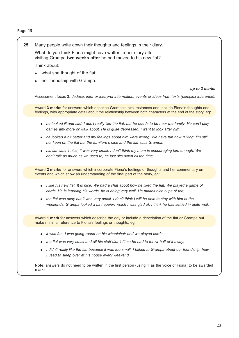#### **Page 13**

**25.** Many people write down their thoughts and feelings in their diary.

What do you think Fiona might have written in her diary after visiting Grampa **two weeks after** he had moved to his new flat?

Think about:

- what she thought of the flat;
- her friendship with Grampa.

#### *up to 3 marks*

Assessment focus 3: *deduce, infer or interpret information, events or ideas from texts (complex inference).*

Award **3 marks** for answers which describe Grampa's circumstances and include Fiona's thoughts and feelings, with appropriate detail about the relationship between both characters at the end of the story, eg:

- *he looked ill and sad. I don't really like the flat, but he needs to be near the family. He can't play games any more or walk about. He is quite depressed. I want to look after him*;
- *he looked a bit better and my feelings about him were wrong. We have fun now talking. I'm still not keen on the flat but the furniture's nice and the flat suits Grampa*;
- *his flat wasn't nice, it was very small. I don't think my mum is encouraging him enough. We don't talk as much as we used to, he just sits down all the time*.

Award **2 marks** for answers which incorporate Fiona's feelings or thoughts and her commentary on events and which show an understanding of the final part of the story, eg:

- *I like his new flat. It is nice. We had a chat about how he liked the flat. We played a game of cards. He is learning his words, he is doing very well. He makes nice cups of tea*;
- *the flat was okay but it was very small. I don't think I will be able to stay with him at the weekends. Grampa looked a bit happier, which I was glad of. I think he has settled in quite well*.

Award **1 mark** for answers which describe the day or include a description of the flat or Grampa but make minimal reference to Fiona's feelings or thoughts, eg:

- *it was fun. I was going round on his wheelchair and we played cards*;
- *the flat was very small and all his stuff didn't fit so he had to throw half of it away*;
- *I didn't really like the flat because it was too small. I talked to Grampa about our friendship, how I used to sleep over at his house every weekend*.

**Note**: answers do not need to be written in the first person (using 'I' as the voice of Fiona) to be awarded marks.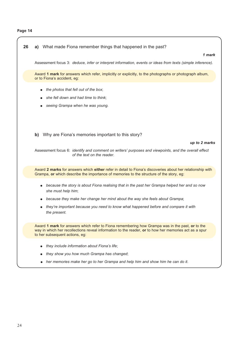| 26 | a) What made Fiona remember things that happened in the past?                                                                                                                                                                              |
|----|--------------------------------------------------------------------------------------------------------------------------------------------------------------------------------------------------------------------------------------------|
|    | 1 mark                                                                                                                                                                                                                                     |
|    | Assessment focus 3: deduce, infer or interpret information, events or ideas from texts (simple inference).                                                                                                                                 |
|    | Award 1 mark for answers which refer, implicitly or explicitly, to the photographs or photograph album,<br>or to Fiona's accident, eg:                                                                                                     |
|    | the photos that fell out of the box;<br>she fell down and had time to think;<br>seeing Grampa when he was young.                                                                                                                           |
|    | Why are Fiona's memories important to this story?<br>b)<br>up to 2 marks                                                                                                                                                                   |
|    | Assessment focus 6: identify and comment on writers' purposes and viewpoints, and the overall effect<br>of the text on the reader.                                                                                                         |
|    | Award 2 marks for answers which either refer in detail to Fiona's discoveries about her relationship with<br>Grampa, or which describe the importance of memories to the structure of the story, eg:                                       |
|    | because the story is about Fiona realising that in the past her Grampa helped her and so now<br>she must help him;                                                                                                                         |
|    | because they make her change her mind about the way she feels about Grampa;                                                                                                                                                                |
|    | they're important because you need to know what happened before and compare it with<br>the present.                                                                                                                                        |
|    | Award 1 mark for answers which refer to Fiona remembering how Grampa was in the past, or to the<br>way in which her recollections reveal information to the reader, or to how her memories act as a spur<br>to her subsequent actions, eg: |
|    | they include information about Fiona's life;                                                                                                                                                                                               |
|    | they show you how much Grampa has changed;                                                                                                                                                                                                 |
|    | her memories make her go to her Grampa and help him and show him he can do it.                                                                                                                                                             |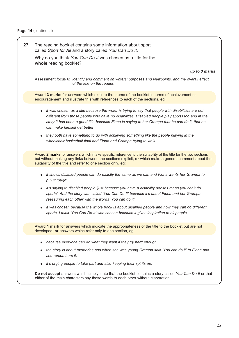**27.** The reading booklet contains some information about sport called *Sport for All* and a story called *You Can Do It*.

Why do you think *You Can Do It* was chosen as a title for the **whole** reading booklet?

*up to 3 marks*

Assessment focus 6: *identify and comment on writers' purposes and viewpoints, and the overall effect of the text on the reader.* 

Award **3 marks** for answers which explore the theme of the booklet in terms of achievement or encouragement and illustrate this with references to each of the sections, eg:

- *it was chosen as a title because the writer is trying to say that people with disabilities are not different from those people who have no disabilities. Disabled people play sports too and in the story it has been a good title because Fiona is saying to her Grampa that he can do it, that he can make himself get better*;
- *they both have something to do with achieving something like the people playing in the wheelchair basketball final and Fiona and Grampa trying to walk.*

Award **2 marks** for answers which make specific reference to the suitability of the title for the two sections but without making any links between the sections explicit, **or** which make a general comment about the suitability of the title and refer to one section only, eg:

- *it shows disabled people can do exactly the same as we can and Fiona wants her Grampa to pull through*;
- *it's saying to disabled people 'just because you have a disability doesn't mean you can't do sports'. And the story was called 'You Can Do It' because it's about Fiona and her Grampa reassuring each other with the words 'You can do it'*;
- *it was chosen because the whole book is about disabled people and how they can do different sports. I think 'You Can Do It' was chosen because it gives inspiration to all people.*

Award **1 mark** for answers which indicate the appropriateness of the title to the booklet but are not developed, **or** answers which refer only to one section, eg:

- *because everyone can do what they want if they try hard enough*;
- *the story is about memories and when she was young Grampa said 'You can do it' to Fiona and she remembers it*;
- *it's urging people to take part and also keeping their spirits up.*

**Do not accept** answers which simply state that the booklet contains a story called *You Can Do It* or that either of the main characters say these words to each other without elaboration.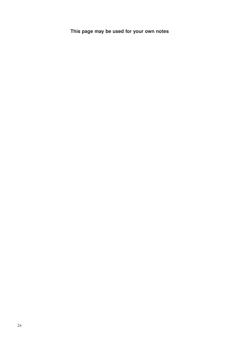**This page may be used for your own notes**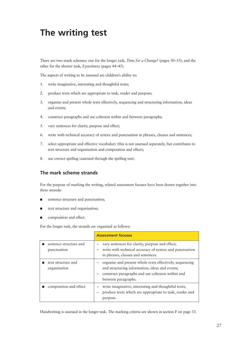# **The writing test**

There are two mark schemes: one for the longer task, *Time for a Change?* (pages 30–33); and the other for the shorter task, *Eyewitness* (pages 44–45).

The aspects of writing to be assessed are children's ability to:

- 1. write imaginative, interesting and thoughtful texts;
- 2. produce texts which are appropriate to task, reader and purpose;
- 3. organise and present whole texts effectively, sequencing and structuring information, ideas and events;
- 4. construct paragraphs and use cohesion within and between paragraphs;
- 5. vary sentences for clarity, purpose and effect;
- 6. write with technical accuracy of syntax and punctuation in phrases, clauses and sentences;
- 7. select appropriate and effective vocabulary (this is not assessed separately, but contributes to text structure and organisation and composition and effect);
- 8. use correct spelling (assessed through the spelling test).

### **The mark scheme strands**

For the purpose of marking the writing, related assessment focuses have been drawn together into three strands:

- sentence structure and punctuation;
- text structure and organisation;
- composition and effect.

For the longer task, the strands are organised as follows:

|                                       | <b>Assessment focuses</b>                                                                                                                                                             |
|---------------------------------------|---------------------------------------------------------------------------------------------------------------------------------------------------------------------------------------|
| sentence structure and<br>punctuation | vary sentences for clarity, purpose and effect;<br>write with technical accuracy of syntax and punctuation<br>in phrases, clauses and sentences.                                      |
| text structure and<br>organisation    | organise and present whole texts effectively, sequencing<br>and structuring information, ideas and events;<br>construct paragraphs and use cohesion within and<br>between paragraphs. |
| composition and effect                | write imaginative, interesting and thoughtful texts;<br>produce texts which are appropriate to task, reader and<br>purpose.                                                           |

Handwriting is assessed in the longer task. The marking criteria are shown in section F on page 33.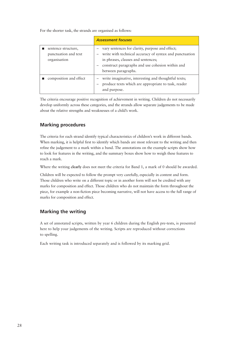For the shorter task, the strands are organised as follows:

|                                                             | <b>Assessment focuses</b>                                                                                                                                                                                                       |
|-------------------------------------------------------------|---------------------------------------------------------------------------------------------------------------------------------------------------------------------------------------------------------------------------------|
| sentence structure,<br>punctuation and text<br>organisation | - vary sentences for clarity, purpose and effect;<br>- write with technical accuracy of syntax and punctuation<br>in phrases, clauses and sentences;<br>construct paragraphs and use cohesion within and<br>between paragraphs. |
| composition and effect                                      | write imaginative, interesting and thoughtful texts;<br>produce texts which are appropriate to task, reader<br>and purpose.                                                                                                     |

The criteria encourage positive recognition of achievement in writing. Children do not necessarily develop uniformly across these categories, and the strands allow separate judgements to be made about the relative strengths and weaknesses of a child's work.

### **Marking procedures**

The criteria for each strand identify typical characteristics of children's work in different bands. When marking, it is helpful first to identify which bands are most relevant to the writing and then refine the judgement to a mark within a band. The annotations on the example scripts show how to look for features in the writing, and the summary boxes show how to weigh these features to reach a mark.

Where the writing **clearly** does not meet the criteria for Band 1, a mark of 0 should be awarded.

Children will be expected to follow the prompt very carefully, especially in content and form. Those children who write on a different topic or in another form will not be credited with any marks for composition and effect. Those children who do not maintain the form throughout the piece, for example a non-fiction piece becoming narrative, will not have access to the full range of marks for composition and effect.

### **Marking the writing**

A set of annotated scripts, written by year 6 children during the English pre-tests, is presented here to help your judgements of the writing. Scripts are reproduced without corrections to spelling.

Each writing task is introduced separately and is followed by its marking grid.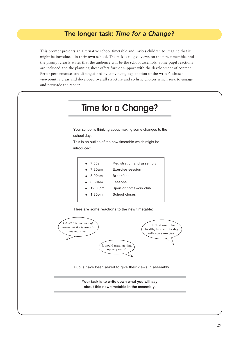## **The longer task:** *Time for a Change?*

This prompt presents an alternative school timetable and invites children to imagine that it might be introduced in their own school. The task is to give views on the new timetable, and the prompt clearly states that the audience will be the school assembly. Some pupil reactions are included and the planning sheet offers further support with the development of content. Better performances are distinguished by convincing explanation of the writer's chosen viewpoint, a clear and developed overall structure and stylistic choices which seek to engage and persuade the reader.



**about this new timetable in the assembly.**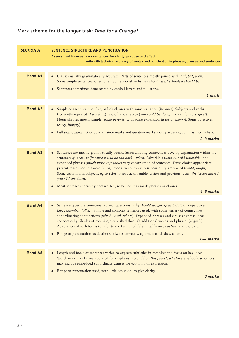# **Mark scheme for the longer task:** *Time for a Change?*

| <b>SECTION A</b> | SENTENCE STRUCTURE AND PUNCTUATION<br>Assessment focuses: vary sentences for clarity, purpose and effect<br>write with technical accuracy of syntax and punctuation in phrases, clauses and sentences                                                                                                                                                                                                                                                                                                                                                     |
|------------------|-----------------------------------------------------------------------------------------------------------------------------------------------------------------------------------------------------------------------------------------------------------------------------------------------------------------------------------------------------------------------------------------------------------------------------------------------------------------------------------------------------------------------------------------------------------|
|                  |                                                                                                                                                                                                                                                                                                                                                                                                                                                                                                                                                           |
| <b>Band A1</b>   | Clauses usually grammatically accurate. Parts of sentences mostly joined with and, but, then.<br>Some simple sentences, often brief. Some modal verbs (we should start school; it should be).<br>Sentences sometimes demarcated by capital letters and full stops.<br>$\bullet$<br>1 mark                                                                                                                                                                                                                                                                 |
|                  |                                                                                                                                                                                                                                                                                                                                                                                                                                                                                                                                                           |
| <b>Band A2</b>   | Simple connectives <i>and, but, or link clauses with some variation (because)</i> . Subjects and verbs<br>frequently repeated (I think ); use of modal verbs (you could be doing; would do more sport).<br>Noun phrases mostly simple (some parents) with some expansion (a lot of energy). Some adjectives<br>(early, hungry).                                                                                                                                                                                                                           |
|                  | Full stops, capital letters, exclamation marks and question marks mostly accurate; commas used in lists.<br>$2 - 3$ marks                                                                                                                                                                                                                                                                                                                                                                                                                                 |
|                  |                                                                                                                                                                                                                                                                                                                                                                                                                                                                                                                                                           |
| <b>Band A3</b>   | Sentences are mostly grammatically sound. Subordinating connectives develop explanation within the<br>sentence: if, because (because it will be too dark), when. Adverbials (with our old timetable) and<br>expanded phrases (much more enjoyable) vary construction of sentences. Tense choice appropriate;<br>present tense used (we need lunch); modal verbs to express possibility are varied (could, might).<br>Some variation in subjects, eg to refer to reader, timetable, writer and previous ideas (the lesson times /<br>you / I / this idea). |
|                  | Most sentences correctly demarcated; some commas mark phrases or clauses.<br>4–5 marks                                                                                                                                                                                                                                                                                                                                                                                                                                                                    |
| <b>Band A4</b>   | Sentence types are sometimes varied: questions (why should we get up at $6.00$ ?) or imperatives<br>(So, remember, folks!). Simple and complex sentences used, with some variety of connectives:<br>subordinating conjunctions (which, until, where). Expanded phrases and clauses express ideas<br>economically. Shades of meaning established through additional words and phrases (slightly).<br>Adaptation of verb forms to refer to the future (children will be more active) and the past.                                                          |
|                  | Range of punctuation used, almost always correctly, eg brackets, dashes, colons.                                                                                                                                                                                                                                                                                                                                                                                                                                                                          |
|                  | 6-7 marks                                                                                                                                                                                                                                                                                                                                                                                                                                                                                                                                                 |
| <b>Band A5</b>   | Length and focus of sentences varied to express subtleties in meaning and focus on key ideas.<br>Word order may be manipulated for emphasis (no child on this planet, let alone a school); sentences<br>may include embedded subordinate clauses for economy of expression.                                                                                                                                                                                                                                                                               |
|                  | Range of punctuation used, with little omission, to give clarity.<br>8 marks                                                                                                                                                                                                                                                                                                                                                                                                                                                                              |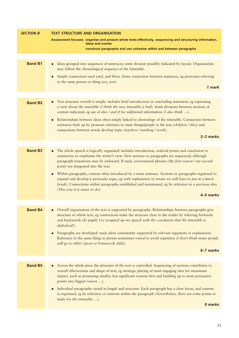| <b>SECTION B</b> | <b>TEXT STRUCTURE AND ORGANISATION</b>                                                                                                                                                                                                                                                                                                               |  |
|------------------|------------------------------------------------------------------------------------------------------------------------------------------------------------------------------------------------------------------------------------------------------------------------------------------------------------------------------------------------------|--|
|                  | Assessment focuses: organise and present whole texts effectively, sequencing and structuring information,<br>ideas and events                                                                                                                                                                                                                        |  |
|                  | construct paragraphs and use cohesion within and between paragraphs                                                                                                                                                                                                                                                                                  |  |
|                  |                                                                                                                                                                                                                                                                                                                                                      |  |
| <b>Band B1</b>   | Ideas grouped into sequences of sentences; some division possibly indicated by layout. Organisation<br>$\bullet$<br>may follow the chronological sequence of the timetable.                                                                                                                                                                          |  |
|                  | Simple connectives used (and, and then). Some connection between sentences, eg pronouns referring<br>to the same person or thing (we, you).                                                                                                                                                                                                          |  |
|                  | 1 mark                                                                                                                                                                                                                                                                                                                                               |  |
|                  |                                                                                                                                                                                                                                                                                                                                                      |  |
| <b>Band B2</b>   | Text structure overall is simple: includes brief introduction or concluding statement, eg expressing<br>a view about the timetable (I think the new timetable is bad). Some divisions between sections of<br>content indicated, eg use of also / and if for additional information (I also think ).                                                  |  |
|                  | Relationships between ideas often simply linked to chronology of the timetable. Connection between<br>sentences built up by pronoun reference to main things/people in the text (children / they) and<br>connections between words develop topic (teachers / marking / work).                                                                        |  |
|                  | $2 - 3$ marks                                                                                                                                                                                                                                                                                                                                        |  |
|                  |                                                                                                                                                                                                                                                                                                                                                      |  |
| <b>Band B3</b>   | The whole speech is logically organised: includes introduction, ordered points and conclusion to<br>summarise or emphasise the writer's view. New sections or paragraphs are sequenced, although<br>paragraph transitions may be awkward. If used, conventional phrases (My first reason / my second<br>point) are integrated into the text.         |  |
|                  | Within paragraphs, content often introduced by a main sentence. Sections or paragraphs organised to<br>expand and develop a particular topic, eg with explanation (it means we will have to put in a lunch<br>break). Connections within paragraphs established and maintained, eg by reference to a previous idea<br>(This way it is easier to do). |  |
|                  | 4–5 marks                                                                                                                                                                                                                                                                                                                                            |  |
|                  |                                                                                                                                                                                                                                                                                                                                                      |  |
| <b>Band B4</b>   | Overall organisation of the text is supported by paragraphs. Relationships between paragraphs give<br>structure to whole text, eg connections make the structure clear to the reader by referring forwards<br>and backwards (So pupils I've wrapped up my speech with the conclusion that the timetable is<br>diabolical!).                          |  |
|                  | Paragraphs are developed: main ideas consistently supported by relevant argument or explanation.<br>Reference to the same thing or person sometimes varied to avoid repetition (I don't think many people<br>will go to either [sport or homework club]).                                                                                            |  |
|                  | 6-7 marks                                                                                                                                                                                                                                                                                                                                            |  |
|                  |                                                                                                                                                                                                                                                                                                                                                      |  |
| <b>Band B5</b>   | Across the whole piece the structure of the text is controlled. Sequencing of sections contributes to<br>overall effectiveness and shape of text, eg strategic placing of most engaging idea for maximum<br>impact, such as presenting smaller, less significant reasons first and building up to most persuasive<br>points (my biggest reason ).    |  |
|                  | Individual paragraphs varied in length and structure. Each paragraph has a clear focus, and content<br>is organised, eg by reference or contrast within the paragraph (Nevertheless, there are some points to<br>make for the timetable ).                                                                                                           |  |
|                  | 8 marks                                                                                                                                                                                                                                                                                                                                              |  |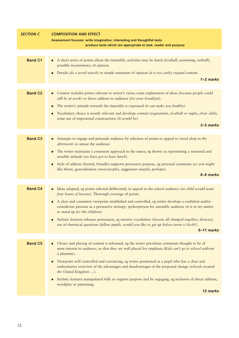| <b>SECTION C</b> | <b>COMPOSITION AND EFFECT</b>                                                                                                                                                                                                                                            |
|------------------|--------------------------------------------------------------------------------------------------------------------------------------------------------------------------------------------------------------------------------------------------------------------------|
|                  | Assessment focuses: write imaginative, interesting and thoughtful texts                                                                                                                                                                                                  |
|                  | produce texts which are appropriate to task, reader and purpose                                                                                                                                                                                                          |
| <b>Band C1</b>   | A short series of points about the timetable; activities may be listed (football, swimming, netball);<br>$\bullet$<br>possible inconsistency of opinion.<br>Details (do a word search) or simple statement of opinion (it is too early) expand content.<br>$1 - 2$ marks |
|                  |                                                                                                                                                                                                                                                                          |
| <b>Band C2</b>   | Content includes points relevant to writer's views; some explanation of ideas (because people could<br>still be at work) or direct address to audience (for your breakfast).                                                                                             |
|                  | The writer's attitude towards the timetable is expressed (it can make you healthy).<br>$\bullet$                                                                                                                                                                         |
|                  | Vocabulary choice is mostly relevant and develops content (vegetarians, football or rugby, choir club);<br>some use of impersonal constructions (It would be).                                                                                                           |
|                  | $3 - 5$ marks                                                                                                                                                                                                                                                            |
|                  |                                                                                                                                                                                                                                                                          |
| <b>Band C3</b>   | Attempts to engage and persuade audience by selection of points to appeal to (need sleep in the<br>afternoon) or amuse the audience.                                                                                                                                     |
|                  | The writer maintains a consistent approach to the issues, eg shown as representing a reasoned and<br>sensible attitude (we have got to have lunch).                                                                                                                      |
|                  | Style of address (formal, friendly) supports persuasive purpose, eg personal comments (so you might<br>like them), generalisation (most people), suggestion (maybe, perhaps).                                                                                            |
|                  | 6-8 marks                                                                                                                                                                                                                                                                |
| <b>Band C4</b>   | Ideas adapted, eg points selected deliberately to appeal to the school audience (no child would want<br>four hours of lessons). Thorough coverage of points.                                                                                                             |
|                  | A clear and consistent viewpoint established and controlled, eg writer develops a confident and/or<br>considerate persona as a persuasive strategy: spokesperson for assembly audience (it is in my nature<br>to stand up for the children).                             |
|                  | Stylistic features enhance persuasion, eg emotive vocabulary (lessons all clumped together; drowsy);<br>use of rhetorical questions (fellow pupils, would you like to get up before seven o'clock?).                                                                     |
|                  | 9-11 marks                                                                                                                                                                                                                                                               |
| <b>Band C5</b>   | Choice and placing of content is informed, eg the writer prioritises comments thought to be of                                                                                                                                                                           |
|                  | most interest to audience, so that they are well placed for emphasis (Kids can't go to school without<br>a playtime).                                                                                                                                                    |
|                  | Viewpoint well controlled and convincing, eg writer positioned as a pupil who has a clear and<br>$\bullet$<br>authoritative overview of the advantages and disadvantages of the proposed change (schools around<br>the United Kingdom ).                                 |
|                  | Stylistic features manipulated fully to support purpose and be engaging, eg inclusion of direct address,<br>$\bullet$<br>wordplay or patterning.                                                                                                                         |
|                  | 12 marks                                                                                                                                                                                                                                                                 |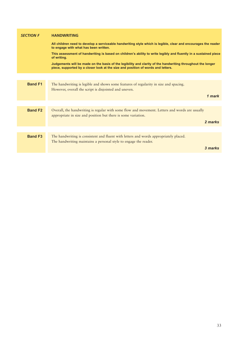| <b>SECTION F</b> | <b>HANDWRITING</b>                                                                                                                                                                              |
|------------------|-------------------------------------------------------------------------------------------------------------------------------------------------------------------------------------------------|
|                  | All children need to develop a serviceable handwriting style which is legible, clear and encourages the reader<br>to engage with what has been written.                                         |
|                  | This assessment of handwriting is based on children's ability to write legibly and fluently in a sustained piece<br>of writing.                                                                 |
|                  | Judgements will be made on the basis of the legibility and clarity of the handwriting throughout the longer<br>piece, supported by a closer look at the size and position of words and letters. |
|                  |                                                                                                                                                                                                 |
| <b>Band F1</b>   | The handwriting is legible and shows some features of regularity in size and spacing.<br>However, overall the script is disjointed and uneven.                                                  |
|                  | 1 mark                                                                                                                                                                                          |
|                  |                                                                                                                                                                                                 |
| <b>Band F2</b>   | Overall, the handwriting is regular with some flow and movement. Letters and words are usually<br>appropriate in size and position but there is some variation.                                 |
|                  | 2 marks                                                                                                                                                                                         |
|                  |                                                                                                                                                                                                 |
| <b>Band F3</b>   | The handwriting is consistent and fluent with letters and words appropriately placed.<br>The handwriting maintains a personal style to engage the reader.                                       |
|                  | 3 marks                                                                                                                                                                                         |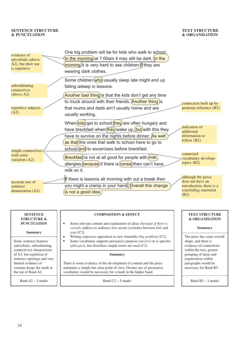#### **TEXT STRUCTURE & ORGANISATION**

| evidence of<br>adverbials (above<br>A2), but their use<br>is repetitive | One big problem will be for kids who walk to school.<br>In the morning at 7:00am it may still be dark. (In the<br>morning) it is very hard to see children if they are<br>wearing dark clothes.                                      |                                                                                                    |
|-------------------------------------------------------------------------|--------------------------------------------------------------------------------------------------------------------------------------------------------------------------------------------------------------------------------------|----------------------------------------------------------------------------------------------------|
|                                                                         | Some children (who) usually sleep late might end up                                                                                                                                                                                  |                                                                                                    |
| subordinating<br>connectives<br>(above A2)                              | falling asleep in lessons.<br>Another bad thing) is that the kids don't get any time                                                                                                                                                 |                                                                                                    |
|                                                                         | to muck around with their friends. Another thing is                                                                                                                                                                                  |                                                                                                    |
| repetitive subjects<br>(A2)                                             | that mums and dads arn't usually home and are<br>usually working.                                                                                                                                                                    | connection built up by<br>pronoun reference (B2)                                                   |
|                                                                         | When $(kids)$ get to school $(hey)$ are often hungary and<br>have breckfast when (they) wake up, but) with this they<br>have to survive on the nights before dinner. (As well<br>as that) the ones that walk to school have to go to | indication of<br>additional<br>information to<br>follow $(B2)$                                     |
| simple connectives                                                      | school (and) to excercises before breckfast.                                                                                                                                                                                         |                                                                                                    |
| with some<br>variation (A2)                                             | Breckfast is not at all good for people with (milk)<br>allergies (because) if there is (cereal) then can't have                                                                                                                      | connected<br>vocabulary develops<br>topics (B2)                                                    |
|                                                                         | milk on it.                                                                                                                                                                                                                          |                                                                                                    |
| accurate use of<br>sentence<br>demarcation (A2)                         | <b>If</b> there is lessons all morning with out a break then<br>you might a cramp in your hand Overall this change<br>(is not a good idea.)                                                                                          | although the piece<br>does not have an<br>introduction, there is a<br>concluding statement<br>(B2) |

| SENTENCE    |
|-------------|
| STRUCTURE & |
| PUNCTUATION |

#### **Summary**

Some sentence features (adverbials, subordinating connectives) characteristic of A3, but repetition of sentence openings and very limited evidence of commas keeps the mark at the top of Band A2.

Band  $A2 - 3$  marks

#### **COMPOSITION & EFFECT**

- $\bullet$ Some relevant content and explanation of ideas (*because if there is cereal*); address to audience less secure (switches between *kids* and *you*) (C2).  $\bullet$
- Writing expresses opposition to new timetable (*big problem*) (C2).  $\bullet$ Some vocabulary supports persuasive purpose (*survive*) or is specific (*allergies*), but elsewhere simple terms are used (C2).

#### **Summary**

There is some evidence of the development of content and the piece maintains a simple but clear point of view. Greater use of persuasive vocabulary would be necessary for a mark in the higher band.

Band  $C2 - 5$  marks

### **TEXT STRUCTURE & ORGANISATION**

#### **Summary**

The piece has some overall shape, and there is evidence of connections within the text; greater grouping of ideas and organisation within paragraphs would be necessary for Band B3.

Band B2 – 3 marks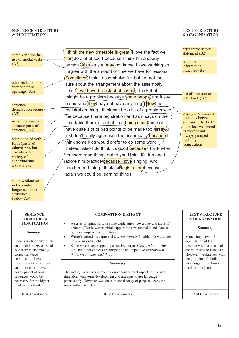Band  $A3 - 4$  marks

#### **TEXT STRUCTURE & ORGANISATION**

| some variation in<br>use of modal verbs =                                                                                                             | I think the new timetable is great!) llove the fact we<br>can do alot of sport because I think I'm a sporty                                                                                                                                                                                                                                                                                   | brief introductory<br>statement (B2)<br>additional                                                                                                           |
|-------------------------------------------------------------------------------------------------------------------------------------------------------|-----------------------------------------------------------------------------------------------------------------------------------------------------------------------------------------------------------------------------------------------------------------------------------------------------------------------------------------------------------------------------------------------|--------------------------------------------------------------------------------------------------------------------------------------------------------------|
| (A3)                                                                                                                                                  | person. Also as you may not know, I love working so<br>I agree with the amount of time we have for lessons.                                                                                                                                                                                                                                                                                   | information<br>indicated (B2)                                                                                                                                |
| adverbials help to<br>vary sentence<br>openings (A3)                                                                                                  | Sometimes) I think assembalys fun but I'm not too<br>sure about the arrangement about the assembaly<br>time. (If we have breakfast at school) I think that<br>minght be a problem because some people are fussy                                                                                                                                                                               | use of pronoun to                                                                                                                                            |
| sentence<br>demarcation secure<br>(A3)<br>use of comma to<br>separate parts of                                                                        | eaters and (they) may not have anything. (Now) the<br>registration thing I think can be a bit of a problem with<br>me because I hate registration and as it says on the<br>time table there is alot of time( <b>being spent</b> ) on that.                                                                                                                                                    | refer back (B2)<br>attempts to indicate<br>divisions between<br>sections of text (B2),<br>but effect weakened                                                |
| sentence (A3)<br>adaptation of verb<br>form (passive)<br>(above A3), but<br>elsewhere limited<br>variety of<br>subordinating<br>connectives           | have quite alot of bad points to be made too. (firstly.)<br>just don't really agree with the assembally (because)<br>think some kids would prefer to do some work<br>instead. Also I do think it's good (because) think when<br>teachers read things out to you I think it's fun and I<br>adore him practice because I love singing. And<br>another bad thing I think is Registration because | as content not<br>always grouped<br>logically<br>(registration)                                                                                              |
| some weaknesses<br>in the control of<br>longer sentence<br>structures<br>(below A3)                                                                   | again we could be learning things.                                                                                                                                                                                                                                                                                                                                                            |                                                                                                                                                              |
| <b>SENTENCE</b><br><b>STRUCTURE &amp;</b><br><b>PUNCTUATION</b>                                                                                       | <b>COMPOSITION &amp; EFFECT</b><br>A series of opinions, with some explanation, covers several areas of<br>content (C2); however initial support for new timetable unbalanced                                                                                                                                                                                                                 | <b>TEXT STRUCTURE</b><br>& ORGANISATION<br><b>Summary</b>                                                                                                    |
| <b>Summary</b><br>Some variety of adverbials<br>and modals suggests Band<br>A3; there is also mostly<br>correct sentence<br>demarcation. Less         | by main emphasis on problems.<br>Writer's attitude is expressed ( $I$ agree with) (C2), although views are<br>$\bullet$<br>not consistently held.<br>Some vocabulary supports persuasive purpose (love, adore) (above<br>$\bullet$<br>C2), but other choices are unspecific and repetitive (registration<br>thing, read things, bad thing).                                                   | Some simple overall<br>organisation of text<br>together with some use of<br>cohesion lead to Band B2.<br>However, weaknesses with<br>the grouping of similar |
| repetition of connectives<br>and more control over the<br>development of long<br>sentences would be<br>necessary for the higher<br>mark in this band. | <b>Summary</b><br>The writing expresses relevant views about several aspects of the new<br>timetable, with some development and attempts to use language<br>persuasively. However, weakness in consistency of purpose keeps the<br>mark within Band C2.                                                                                                                                       | ideas suggest the lower<br>mark in this band.                                                                                                                |
|                                                                                                                                                       |                                                                                                                                                                                                                                                                                                                                                                                               |                                                                                                                                                              |

Band  $C2 - 5$  marks

35

Band  $B2 - 2$  marks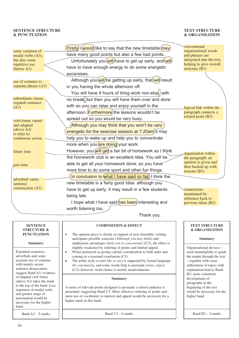#### **TEXT STRUCTURE & ORGANISATION**

| some variation of            | <b>Firstly</b> I would like to say that the new timetable (may) | conventional<br>organisational words                 |
|------------------------------|-----------------------------------------------------------------|------------------------------------------------------|
| modal verbs (A3),            | have many good points but also a few bad points.                | and phrases are                                      |
| but also some                | Unfortunately you will) have to get up early, and will          | integrated into the text,<br>helping to give overall |
| repetitive use<br>(below A3) | have to have enough energy to do some energetic                 | structure $(B3)$                                     |
|                              | excersises.                                                     |                                                      |
| use of commas to             | Although you will be getting up early, that will result         |                                                      |
| separate phrase (A3)         | in you having the whole afternoon off.                          |                                                      |
|                              | You will have 4 hours of tiring work non-stop, with             |                                                      |
| subordinate clause           | no break, but then you will have them over and done             |                                                      |
| expands sentence<br>(A3)     | with so you can relax and enjoy yourself in the                 | logical link within the                              |
|                              | afternoon. Furthermore the lessons wouldn't be                  | paragraph connects a                                 |
| verb forms varied            | spread out so you would be very busy.                           | related point (B3)                                   |
| and adapted                  | (Although you may think that you won't be very                  |                                                      |
| (above A3)<br>to refer to:   | energetic for the exercise session at 7.20am) it may            |                                                      |
| continuous action            | help you to wake up and help you to concentrate                 |                                                      |
|                              | more when you are doing your work.                              |                                                      |
| future time                  | However, you will get a fair bit of homework so I think         | organisation within                                  |
|                              | the homework club is an excellent idea. You will be             | the paragraph: an                                    |
| past time                    | able to get all your homework done, so you have?                | opinion is given and                                 |
|                              | more time to do some sport and other fun things.                | then backed up with<br>reasons $(B3)$                |
| adverbial varies             | In conclusion to what I have said so fat), I think the          |                                                      |
| sentence                     | new timetable is a fairly good Idea. although you               |                                                      |
| construction (A3)            | have to get up early, it may result in a few students           | connections                                          |
|                              | being late.                                                     | maintained by<br>reference back to                   |
|                              | I hope what I have said has been interesting and                | previous ideas (B3)                                  |
|                              | worth listening too.                                            |                                                      |
|                              | منتباط مطالب                                                    |                                                      |

Thank you.

#### **SENTENCE COMPOSITION & EFFECT TEXT STRUCTURE STRUCTURE & & ORGANISATION PUNCTUATION**   $\bullet$ The opinion piece is clearly in support of new timetable: writing anticipates possible concerns (*Although you may think*) and **Summary Summary** emphasises advantages (*help you to concentrate*) (C3); the effect is slightly weakened by ordering of points and limited appeal. Organisational devices – Extended sentences,  $\bullet$ Writer portrayed as giving careful consideration to both sides and used meaningfully to guide adverbials and some coming to a reasoned conclusion (C3). the reader through the text accurate use of commas The polite style (*would like to say*) is supported by formal language – together with some  $\bullet$ with mainly secure (*In conclusion*), and some words help to persuade (*relax, enjoy*) elaboration of topics with sentence demarcation (C3); however, word choice is mostly unadventurous. explanation lead to Band suggest Band A3; evidence B3; more consistent of adapted verb forms **Summary** development of (above A3) takes the mark paragraphs at the to the top of the band. Less A series of relevant points designed to persuade a school audience is beginning of the text repetition of modal verbs presented, suggesting Band C3. More effective ordering of points and would be necessary for the and greater range of more use of vocabulary to interest and appeal would be necessary for a higher band. punctuation would be higher mark in this band. necessary for the higher band. Band  $B3 - 5$  marks Band A3 – 5 marks Band  $C3 - 6$  marks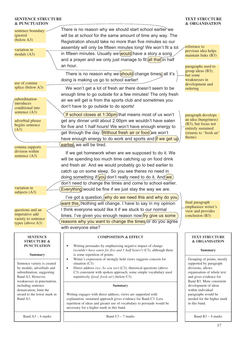#### **TEXT STRUCTURE & ORGANISATION**

| sentence boundary<br>ignored<br>(below A3)<br>variation in<br>modals $(A3)$                                                              | There is no reason why we should start school earlier we<br>will be at school for the same amount of time any way. The<br>Registration should take no more than five minutes so our<br>assembly will only be fifteen minutes long! We won't fit a lot<br>in fifteen minutes. Usually we would) have a story a song | reference to<br>previous idea helps<br>maintain links (B3)                                                                                                    |
|------------------------------------------------------------------------------------------------------------------------------------------|--------------------------------------------------------------------------------------------------------------------------------------------------------------------------------------------------------------------------------------------------------------------------------------------------------------------|---------------------------------------------------------------------------------------------------------------------------------------------------------------|
|                                                                                                                                          | and a prayer and we only just manage to fit all that) in half<br>an hour.<br>There is no reason why we should change times, all it's                                                                                                                                                                               | paragraphs used to<br>group ideas (B3),<br>but some                                                                                                           |
| use of comma<br>splice (below A3)                                                                                                        | doing is making us go to school earlier!<br>We won't get a lot of fresh air there doesn't seem to be<br>enough time to go outside for a few minutes! The only fresh                                                                                                                                                | weaknesses in<br>development and<br>ordering                                                                                                                  |
| subordination<br>introduces<br>conditional into                                                                                          | air we will get is from the sports club and sometimes you<br>don't have to go outside to do sports!                                                                                                                                                                                                                |                                                                                                                                                               |
| sentence (A3)<br>adverbial phrase<br>begins sentence<br>(A3)                                                                             | If school closes at 1:30pm) that meens most of us won't<br>get any dinner until about 2:00pm we wouldn't have eaten<br>for five and 1 half hours! We won't have enough energy to<br>get through the day. Without fresh air or food we won't<br>have enough energy to do work and sports and (if we get up          | paragraph develops<br>an idea (hungriness)<br>(B3), but focus not<br>entirely sustained<br>(returns to 'fresh air'<br>theme)                                  |
| comma supports<br>division within                                                                                                        | earlier, we will be tired.<br>If we get homework when are we supposed to do it. We                                                                                                                                                                                                                                 |                                                                                                                                                               |
| sentence (A3)                                                                                                                            | will be spending too much time catching up on food drink<br>and fresh air. And we would probably go to bed earlier to<br>catch up on some sleep. So you see theres no need in<br>doing something if (you) don't really need to do it. And (we)<br>don't need to change the times and come to school earlier.       |                                                                                                                                                               |
| variation in<br>subjects $(A3)$                                                                                                          | Everything) would be fine if we just stay the way we are.<br>I've got a question, why do we need this and why do you                                                                                                                                                                                               |                                                                                                                                                               |
| questions and an<br>imperative add<br>variety to sentence<br>types (above A3)                                                            | want this.)Nothing will change. I have to say in my opinion<br>I think everyone would like it if we stuck to our normal<br>times. I've given you enough reason now fry give us some<br>reasons why you want to change the times/or do you agree<br>with everyone else?                                             | final paragraph<br>emphasises writer's<br>view and provides<br>conclusion (B3)                                                                                |
| <b>SENTENCE</b><br><b>STRUCTURE &amp;</b>                                                                                                | <b>COMPOSITION &amp; EFFECT</b>                                                                                                                                                                                                                                                                                    | <b>TEXT STRUCTURE</b><br>& ORGANISATION                                                                                                                       |
| <b>PUNCTUATION</b><br><b>Summary</b>                                                                                                     | Writing persuades by emphasising negative impact of change<br>$\bullet$<br>(wouldn't have eaten for five and 1 half hours!) (C3), although there<br>is some repetition of points.                                                                                                                                  | <b>Summary</b>                                                                                                                                                |
| Sentence variety is created<br>by modals, adverbials and<br>subordination, suggesting<br>Band A3. However,<br>weaknesses in punctuation, | Writer's expression of strongly held views suggests concern for<br>$\bullet$<br>situation (C3).<br>Direct address (we, So you see) (C3); rhetorical questions (above<br>$\bullet$<br>C3) consistent with spoken approach; some simple vocabulary used<br>repetitively (food, fresh air) (below C3).                | Grouping of points, mostly<br>supported by paragraph<br>divisions, allows<br>organisation of whole text<br>and gives evidence for<br>Band B3. More consistent |
| including sentence<br>demarcation, limit the<br>award to the lower mark in<br>Band A3.                                                   | <b>Summary</b><br>Writing engages with direct address; views are supported with<br>explanation; sustained approach gives evidence for Band C3. Less<br>repetition of ideas and greater use of vocabulary to persuade would be<br>necessary for a higher mark in this band.                                         | development of ideas<br>within individual<br>paragraphs would be<br>needed for the higher mark<br>in this band.                                               |
| Band $A3 - 4$ marks                                                                                                                      | Band $C3 - 7$ marks                                                                                                                                                                                                                                                                                                | Band $B3 - 4$ marks                                                                                                                                           |
|                                                                                                                                          |                                                                                                                                                                                                                                                                                                                    |                                                                                                                                                               |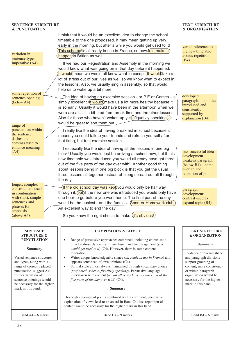#### variation in sentence type: imperative (A4) some repetition of sentence opening (below A4) varied reference to the new timetable avoids repetition (B4) developed paragraph: main idea introduced and consistently supported by explanation (B4) less successful idea development weakens paragraph  $(below B4) - some$ overlap and repetition of points paragraph development: contrast used to expand topic (B4) **COMPOSITION & EFFECT** Range of persuasive approaches combined, including enthusiastic **SENTENCE STRUCTURE & PUNCTUATION**  range of punctuation within the sentence: dashes and commas used to enhance meaning (A4) longer, complex constructions used in combination with short, simple sentences and phrases for emphasis (above A4) I think that it would be an excellent idea to change the school timetable to the one propossed. It may meen getting up very early in the morning, but after a while you would get used to it!  $\overline{f}$  This scheme is all ready in use in France, so now *lets make it*  $(happen)$ in Britian as well. If we had our Regestration and Assembly in the morning we would know what was going on in that day before it happened.  $(It$  would mean we would all know what to except.  $(It$  would take a lot of stress out of our lives as well so we know what to expect in the lessons. Also, we usually sing in assembly, so that would help us to wake up a bit more. The idea of having an excersice session - or P.E or Games - is simply excellent. (It would) make us a lot more healthy because it is so early. Usually it would have been in the afternoon when we were are all still a bit tired from break time and the other lessons. Also for those who haven't woken up yet  $\frac{1}{2}$  figurityly speaking  $\frac{1}{2}$  it would be great to sort them out. I really like the idea of having breakfast in school because it means you could talk to your friends and refresh yourself after that tiring, but fun, exersice session. I especially like the idea of having all the lessons in one big block! Usually you would just be arriving at school now, but if this new timetable was introduced you would all ready have got three out of the five parts of the day over with!! Another good thing about lessons being in one big block is that you get the usual three lessons all together instead of bieng spread out all through the day. If the old school day was kept) you would only be half way through it,  $\frac{\partial u}{\partial t}$  if the new one was introduced you would only have one hour to go before you went home. The final part of the day would be the easiest - and the funniest. Sport or Homework club. An excellent way to end the day. So you know the right choice to make.  $(t's$  obvious!)

**Summary**

Varied sentence structures and types, along with a range of correctly placed punctuation, suggest A4; further variation of sentence openings would be necessary for the higher mark in this band.

Band A4 – 6 marks

- direct address (*lets make it, you know*) and encouragement (*you would get used to it*) (C4). However, there is some content reiteration.
- Writer adopts knowledgeable stance (*all ready in use in France*) and appears convinced of own opinions (C4).
- Formal style almost always maintained through vocabulary choice (*propossed, scheme, figuritvly speaking*). Persuasive language interwoven with content (*would all ready have got three out of the five parts of the day over with*) (C4).

#### **Summary**

Thorough coverage of points combined with a confident, persuasive explanation of views lead to an award in Band C4; less repetition of content would be necessary for the higher mark in this band.

Band  $C4 - 9$  marks

#### **TEXT STRUCTURE & ORGANISATION**

#### **TEXT STRUCTURE & ORGANISATION**

#### **Summary**

Evidence of overall shape and paragraph divisions support grouping of content; more consistency of within-paragraph organisation would be necessary for the higher mark in this band.

Band B4 – 6 marks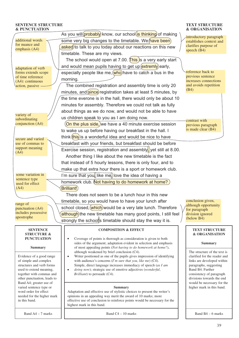#### **TEXT STRUCTURE & ORGANISATION**

| <b>&amp; PUNCTUATION</b>                                                                                                                                                                                                                                                                                                                                                                |                                                                                                                                                                                                                                                                                                                                                                                                                                                                                                                                                                                                                                                                                                                                                                                                                                                                                  | & OKGANISATION                                                                                                                                                                                                                                                                                                            |
|-----------------------------------------------------------------------------------------------------------------------------------------------------------------------------------------------------------------------------------------------------------------------------------------------------------------------------------------------------------------------------------------|----------------------------------------------------------------------------------------------------------------------------------------------------------------------------------------------------------------------------------------------------------------------------------------------------------------------------------------------------------------------------------------------------------------------------------------------------------------------------------------------------------------------------------------------------------------------------------------------------------------------------------------------------------------------------------------------------------------------------------------------------------------------------------------------------------------------------------------------------------------------------------|---------------------------------------------------------------------------------------------------------------------------------------------------------------------------------------------------------------------------------------------------------------------------------------------------------------------------|
| additional words                                                                                                                                                                                                                                                                                                                                                                        | As you will <i>probably</i> know, our school is thinking of making<br>some very big changes to the timetable. We have been)                                                                                                                                                                                                                                                                                                                                                                                                                                                                                                                                                                                                                                                                                                                                                      | introductory paragraph<br>establishes context and                                                                                                                                                                                                                                                                         |
| for nuance and<br>emphasis (A4)                                                                                                                                                                                                                                                                                                                                                         | asked) to talk to you today about our reactions on this new                                                                                                                                                                                                                                                                                                                                                                                                                                                                                                                                                                                                                                                                                                                                                                                                                      | clarifies purpose of<br>speech $(B4)$                                                                                                                                                                                                                                                                                     |
| adaptation of verb<br>forms extends scope<br>of time reference<br>$(A4)$ : continuous<br>action, passive                                                                                                                                                                                                                                                                                | timetable. These are my views.<br>The school would open at 7.00. $\overline{This}$ is a very early start<br>and would mean pupils having to get up (extremly) early,<br>especially people like me, $(who)$ have to catch a bus in the<br>morning.<br>The combined registration and assembly time is only 20<br>minutes, and <i>since</i> registration takes at least 5 minutes, by<br>the time everone is in the hall, there would only be about 10                                                                                                                                                                                                                                                                                                                                                                                                                              | reference back to<br>previous sentence<br>increases connections<br>and avoids repetition<br>(B4)                                                                                                                                                                                                                          |
| variety of<br>subordinating<br>conjunction (A4)                                                                                                                                                                                                                                                                                                                                         | minutes for assembly. Therefore we could not talk as fully<br>about things as we do now, and would not be able to have<br>us children speak to you as I am doing now.<br>(On the plus side,) we have a 40 minute exercise session<br>to wake us up before having our breakfast in the hall. I<br>think (this) is a wonderful idea and would be nice to have                                                                                                                                                                                                                                                                                                                                                                                                                                                                                                                      | contrast with<br>previous paragraph<br>is made clear (B4)                                                                                                                                                                                                                                                                 |
| secure and varied<br>use of commas to<br>support meaning<br>(A4)                                                                                                                                                                                                                                                                                                                        | breakfast with your friends, but breakfast should be before<br>Exercise session, registration and assembly, yet still at 8.00.<br>Another thing I like about the new timetable is the fact<br>that instead of 5 hourly lessons, there is only four, and to<br>make up that extra hour there is a sport or homework club.                                                                                                                                                                                                                                                                                                                                                                                                                                                                                                                                                         |                                                                                                                                                                                                                                                                                                                           |
| some variation in<br>sentence type<br>used for effect<br>(A4)                                                                                                                                                                                                                                                                                                                           | I'm sure that you, like me, love the idea of having a<br>homework club. Not having to do homework at home?<br>Brilliant!)                                                                                                                                                                                                                                                                                                                                                                                                                                                                                                                                                                                                                                                                                                                                                        |                                                                                                                                                                                                                                                                                                                           |
| range of<br>punctuation (A4)<br>includes possessive<br>apostrophe                                                                                                                                                                                                                                                                                                                       | There does not seem to be a lunch hour in this new<br>timetable, so you would have to have your lunch after<br>school closed, (which) would be a very late lunch. Therefore<br>although) the new timetable has many good points, I still feel<br>strongly the schools timetable should stay the way it is.                                                                                                                                                                                                                                                                                                                                                                                                                                                                                                                                                                       | conclusion given,<br>although opportunity<br>for paragraph<br>division ignored<br>(below B4)                                                                                                                                                                                                                              |
| <b>SENTENCE</b><br><b>STRUCTURE &amp;</b><br><b>PUNCTUATION</b><br><b>Summary</b><br>Evidence of a good range<br>of simple and complex<br>structures and verb forms<br>used to extend meaning,<br>together with commas and<br>other punctuation, leads to<br>Band A4; greater use of<br>varied sentence type or<br>word order for effect<br>needed for the higher mark<br>in this band. | <b>COMPOSITION &amp; EFFECT</b><br>Coverage of points is thorough as consideration is given to both<br>sides of the argument; adaptation evident in selection and emphasis<br>of most appealing points (Not having to do homework at home?),<br>although weakened by brief conclusion (C4).<br>Writer positioned as one of the pupils gives impression of identifying<br>$\bullet$<br>with audience's concerns $(I'm sure that you, like me)$ (C4).<br>Simple, direct language increases immediacy of speech (as I am<br>doing now); strategic use of emotive adjectives (wonderful,<br>$\bullet$<br>Brilliant) to persuade (C4).<br><b>Summary</b><br>Adaptation and effective use of stylistic choices to present the writer's<br>opinions in an appealing way merit the award of 10 marks; more<br>effective use of conclusion to reinforce points would be necessary for the | <b>TEXT STRUCTURE</b><br>& ORGANISATION<br><b>Summary</b><br>The structure of the text is<br>clarified for the reader and<br>links are developed within<br>paragraphs, suggesting<br>Band B4. Further<br>consistency of paragraph<br>divisions towards the end<br>would be necessary for the<br>higher mark in this band. |
| Band A4 - 7 marks                                                                                                                                                                                                                                                                                                                                                                       | highest mark in this band.<br>Band $C4 - 10$ marks                                                                                                                                                                                                                                                                                                                                                                                                                                                                                                                                                                                                                                                                                                                                                                                                                               | Band B4 - 6 marks                                                                                                                                                                                                                                                                                                         |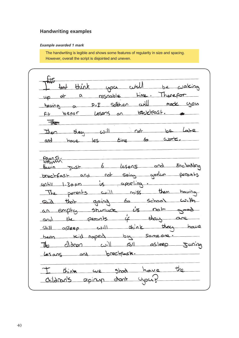### **Handwriting examples**

#### *Example awarded 1 mark*

The handwriting is legible and shows some features of regularity in size and spacing. However, overall the script is disjointed and uneven.

 $f<sub>er</sub>$ cirll think be waking +ميه you Therepor  $time.$ respoble  $\alpha$  $a<sub>k</sub>$  $\omega$ Sorber  $004$  $P.E$ mode <u>having</u> a becklest. befor Lesens  $\alpha$ Fit  $\overline{\mathbf{H}}$ they  $L$  $\bigcap_{\alpha\in\mathbb{N}}$  $h^{\alpha}$ Then have les time work.  $6<sub>o</sub>$ ard Foanst Encloding  $6$  lesens <u>and</u>  $Test$  $H_{\alpha\mu\nu}$ breakfast and not seing yorker perants aporting. until  $1.30$  pm  $\mathcal{L}_{\mathcal{S}}$ miss them having  $\mathbf{u}$ perents The School CU.H going <u>حے</u> Said that  $\dot{\mathcal{L}}$ an empty Stumuck  $\Omega$ the perants thay  $\dot{\mathcal{L}}$ and  $x + y = 1$ that haug Shill asleep لللاف  $be$ Kid naped Sameone been  $\lim_{\leftarrow}$ Sil asleep Juring Lesans and breckfask.  $the$ we shoot have  $thine$ childran's apiny dont  $\mathcal{L}$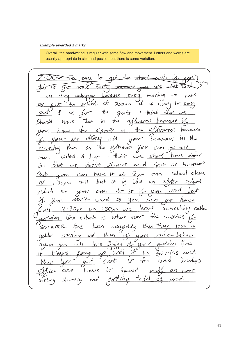#### *Example awarded 2 marks*

Overall, the handwriting is regular with some flow and movement. Letters and words are usually appropriate in size and position but there is some variation.

early  $t_{\sigma}$ eartri างกาง <del>becaus</del> pecause unhappy every Mornin very school αt ŕt  $t_{\sigma}$  $700$ an  $\alpha$ to es Ŧо the ano  $a\overline{b}$ Sports There have ₩Q Should  $\alpha$ noon hø the  $\sigma$ hezause  $\leq$  ports in harre digna  $M$ are ou  $\alpha$ M x then Ho a⁄ ternoon  $\boldsymbol{\mathcal{U}}$  $\overline{10}$  $\sim$ 1anN nю have dinner  $u$ iled  $<$ hoo think we  $\mathscr{M}$ Horsework that starve  $\sigma$  $\hat{\gamma}\text{\textit{+}}$  $\alpha$  $\mathcal{S}^{\alpha}$ we  $\Lambda$ nt School  $close<$  $2$  om and have ik Club aÆ  $\infty$  $\overline{AB}$  $J_{30\rho m}$ put  $i\mathcal{E}$  $a<sub>n</sub>$  $\mathcal{A}$  $5c$ *ha*  $56.11$ J. at raNt  $50$ can dί  $d$ *Dn*  $f$  $t\!\sigma$ vant  $464$  $can$ ane have  $12.30 \rho m$ carred Something  $1.60 \rho m$ ЬO over the  $wee$ Where trich  $iS$ Trie  $\mathcal{C}$ SOMEOTR  $b\alpha$ n The lose a has then raug then vaming ی تئے ا and e 1 den  $\omega$ ill Smins  $\sigma$ lose orri ЧОЦ ggain  $10 - 61005$ unti `Æ torny Zo eros  $M1\cap$  $\lt$ en ₩w М have  $cm<sub>d</sub>$  $\alpha$ Silent  $\alpha$ :tine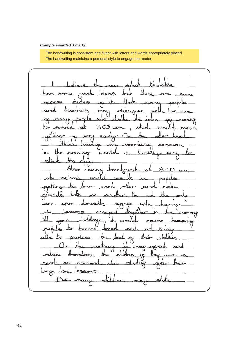#### *Example awarded 3 marks*

The handwriting is consistent and fluent with letters and words appropriately placed. The handwriting maintains a personal style to engage the reader.

£l Sam mr  $P<sub>O</sub>$ pree  $\curvearrowright$ nen nonung  $\overline{a}$  $8.00$ thans gres ranned monning ontrary ರ್ಕಾರ  $\epsilon$ omewar SBONS  $\bigcap$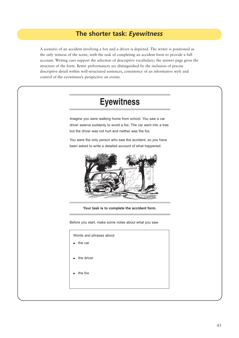## **The shorter task:** *Eyewitness*

A scenario of an accident involving a fox and a driver is depicted. The writer is positioned as the only witness of the scene, with the task of completing an accident form to provide a full account. Writing cues support the selection of descriptive vocabulary; the answer page gives the structure of the form. Better performances are distinguished by the inclusion of precise descriptive detail within well-structured sentences, consistency of an informative style and control of the eyewitness's perspective on events.

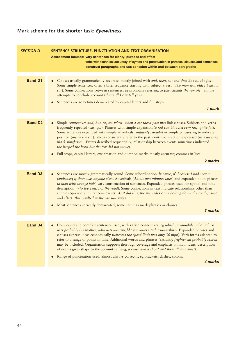# **Mark scheme for the shorter task:** *Eyewitness*

| <b>SECTION D</b> | SENTENCE STRUCTURE, PUNCTUATION AND TEXT ORGANISATION<br>Assessment focuses: vary sentences for clarity, purpose and effect<br>write with technical accuracy of syntax and punctuation in phrases, clauses and sentences<br>construct paragraphs and use cohesion within and between paragraphs                                                                                                                                                                                                                                                                                                                       |
|------------------|-----------------------------------------------------------------------------------------------------------------------------------------------------------------------------------------------------------------------------------------------------------------------------------------------------------------------------------------------------------------------------------------------------------------------------------------------------------------------------------------------------------------------------------------------------------------------------------------------------------------------|
|                  |                                                                                                                                                                                                                                                                                                                                                                                                                                                                                                                                                                                                                       |
| <b>Band D1</b>   | Clauses usually grammatically accurate, mostly joined with and, then, so (and then he saw the fox).<br>Some simple sentences, often a brief sequence starting with subject + verb (The man was old; I heard a<br>car). Some connections between sentences, eg pronouns referring to participants (he ran off). Simple<br>attempts to conclude account (that's all I can tell you).<br>Sentences are sometimes demarcated by capital letters and full stops.                                                                                                                                                           |
|                  | 1 mark                                                                                                                                                                                                                                                                                                                                                                                                                                                                                                                                                                                                                |
|                  |                                                                                                                                                                                                                                                                                                                                                                                                                                                                                                                                                                                                                       |
| <b>Band D2</b>   | Simple connectives and, but, or, so, when (when a car raced past me) link clauses. Subjects and verbs<br>frequently repeated (car, got). Phrases with simple expansion (a red car, blue tie; very fast, quite fat).<br>Some sentences expanded with simple adverbials (suddenly, slowly) or simple phrases, eg to indicate<br>position (inside the car). Verbs consistently refer to the past; continuous action expressed (was wearing<br>black sunglasses). Events described sequentially; relationship between events sometimes indicated<br>(he beeped the horn but the fox did not move).                        |
|                  | Full stops, capital letters, exclamation and question marks mostly accurate; commas in lists.                                                                                                                                                                                                                                                                                                                                                                                                                                                                                                                         |
|                  | 2 marks                                                                                                                                                                                                                                                                                                                                                                                                                                                                                                                                                                                                               |
|                  |                                                                                                                                                                                                                                                                                                                                                                                                                                                                                                                                                                                                                       |
| <b>Band D3</b>   | Sentences are mostly grammatically sound. Some subordination: because, if (because I had seen a<br>landrover; if there was anyone else). Adverbials (About two minutes later) and expanded noun phrases<br>(a man with orange hair) vary construction of sentences. Expanded phrases used for spatial and time<br>description (into the centre of the road). Some connections in text indicate relationships other than<br>simple sequence: simultaneous events (As it did this, the mercedes came bolting down the road); cause<br>and effect (this resulted in the car swerving).                                   |
|                  | Most sentences correctly demarcated; some commas mark phrases or clauses.                                                                                                                                                                                                                                                                                                                                                                                                                                                                                                                                             |
|                  | 3 marks                                                                                                                                                                                                                                                                                                                                                                                                                                                                                                                                                                                                               |
|                  |                                                                                                                                                                                                                                                                                                                                                                                                                                                                                                                                                                                                                       |
| <b>Band D4</b>   | Compound and complex sentences used, with varied connectives, eg which, meanwhile, who (which<br>was probably his mother; who was wearing black trousers and a sweatshirt). Expanded phrases and<br>clauses express ideas economically (whereas the speed limit was only 30 mph). Verb forms adapted to<br>refer to a range of points in time. Additional words and phrases (certainly frightened; probably scared)<br>may be included. Organisation supports thorough coverage and emphasis on main ideas; description<br>of events gives shape to the account (a bang, a crash and a shout and then all was quiet). |
|                  | Range of punctuation used, almost always correctly, eg brackets, dashes, colons.<br>4 marks                                                                                                                                                                                                                                                                                                                                                                                                                                                                                                                           |
|                  |                                                                                                                                                                                                                                                                                                                                                                                                                                                                                                                                                                                                                       |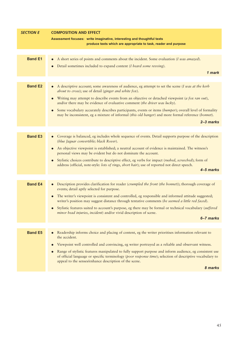| <b>SECTION E</b> | <b>COMPOSITION AND EFFECT</b>                                                                                                                                                                                  |
|------------------|----------------------------------------------------------------------------------------------------------------------------------------------------------------------------------------------------------------|
|                  | Assessment focuses: write imaginative, interesting and thoughtful texts                                                                                                                                        |
|                  | produce texts which are appropriate to task, reader and purpose                                                                                                                                                |
|                  |                                                                                                                                                                                                                |
| <b>Band E1</b>   | A short series of points and comments about the incident. Some evaluation (I was amazed).                                                                                                                      |
|                  | Detail sometimes included to expand content (I heard some revving).                                                                                                                                            |
|                  | 1 mark                                                                                                                                                                                                         |
|                  |                                                                                                                                                                                                                |
| <b>Band E2</b>   | A descriptive account; some awareness of audience, eg attempt to set the scene (I was at the kerb<br>$\bullet$<br>about to cross); use of detail (ginger and white fox).                                       |
|                  | Writing may attempt to describe events from an objective or detached viewpoint (a fox ran out),<br>and/or there may be evidence of evaluative comment (the driver was lucky).                                  |
|                  | Some vocabulary accurately describes participants, events or items (bumper); overall level of formality<br>may be inconsistent, eg a mixture of informal (this old banger) and more formal reference (bonnet). |
|                  | $2 - 3$ marks                                                                                                                                                                                                  |
|                  |                                                                                                                                                                                                                |
| <b>Band E3</b>   | Coverage is balanced, eg includes whole sequence of events. Detail supports purpose of the description<br>(blue Jaguar convertible; black Rover).                                                              |
|                  | An objective viewpoint is established; a neutral account of evidence is maintained. The witness's<br>personal views may be evident but do not dominate the account.                                            |
|                  | Stylistic choices contribute to descriptive effect, eg verbs for impact (rushed, screeched); form of<br>$\bullet$                                                                                              |
|                  | address (official, note-style: lots of rings, short hair); use of reported not direct speech.<br>4-5 marks                                                                                                     |
|                  |                                                                                                                                                                                                                |
| <b>Band E4</b>   |                                                                                                                                                                                                                |
|                  | Description provides clarification for reader (crumpled the front (the bonnet)); thorough coverage of<br>$\bullet$<br>events; detail aptly selected for purpose.                                               |
|                  | The writer's viewpoint is consistent and controlled, eg responsible and informed attitude suggested;<br>writer's position may suggest distance through tentative comments (he seemed a little red faced).      |
|                  | Stylistic features suited to account's purpose, eg there may be formal or technical vocabulary (suffered<br>minor head injuries, incident) and/or vivid description of scene.                                  |
|                  | 6-7 marks                                                                                                                                                                                                      |
| <b>Band E5</b>   | Readership informs choice and placing of content, eg the writer prioritises information relevant to<br>the accident.                                                                                           |
|                  | Viewpoint well controlled and convincing, eg writer portrayed as a reliable and observant witness.                                                                                                             |
|                  | Range of stylistic features manipulated to fully support purpose and inform audience, eg consistent use                                                                                                        |
|                  | of official language or specific terminology (poor response time); selection of descriptive vocabulary to<br>appeal to the senses/enhance description of the scene.                                            |
|                  | 8 marks                                                                                                                                                                                                        |
|                  |                                                                                                                                                                                                                |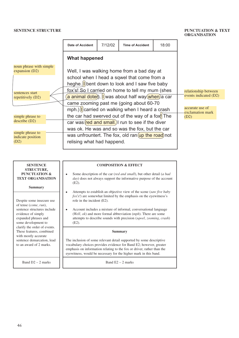#### **SENTENCE STRUCTURE PUNCTUATION & TEXT**

# **ORGANISATION**

|                                             |                                                                                                                                                       |         |                                                                                                         |       | <u>UNUANDALIUN</u>                  |  |  |
|---------------------------------------------|-------------------------------------------------------------------------------------------------------------------------------------------------------|---------|---------------------------------------------------------------------------------------------------------|-------|-------------------------------------|--|--|
|                                             | <b>Date of Accident</b>                                                                                                                               | 7/12/02 | <b>Time of Accident</b>                                                                                 | 18:00 |                                     |  |  |
|                                             | <b>What happened</b>                                                                                                                                  |         |                                                                                                         |       |                                     |  |  |
| noun phrase with simple<br>expansion $(D2)$ |                                                                                                                                                       |         | Well, I was walking home from a bad day at                                                              |       |                                     |  |  |
|                                             |                                                                                                                                                       |         | school when I head a sqwel that come from a<br>heghe. $\parallel$ bent down to look and I saw five baby |       |                                     |  |  |
| sentences start<br>repetitively (D2)        | fox's! So I carried on home to tell my mum (shes<br>relationship between<br>events indicated (D2)<br>a animal doter). I was about half way when a car |         |                                                                                                         |       |                                     |  |  |
|                                             | came zooming past me (going about 60-70                                                                                                               |         |                                                                                                         |       |                                     |  |  |
|                                             |                                                                                                                                                       |         | mph.) locarried on walking when I heard a crash                                                         |       | accurate use of<br>exclamation mark |  |  |
| simple phrase to<br>describe (D2)           | the car had swerved out of the way of a fox <sup>[1</sup> ] The<br>(D2)<br>car was red and small.) run to see if the diver                            |         |                                                                                                         |       |                                     |  |  |
|                                             |                                                                                                                                                       |         |                                                                                                         |       |                                     |  |  |
| simple phrase to<br>indicate position       | was ok. He was and so was the fox, but the car<br>was unfrountert. The fox, old ran $\left(\text{up the road}\right)$ not                             |         |                                                                                                         |       |                                     |  |  |
| (D2)                                        | relising what had happend.                                                                                                                            |         |                                                                                                         |       |                                     |  |  |
|                                             |                                                                                                                                                       |         |                                                                                                         |       |                                     |  |  |

| <b>SENTENCE</b>                                                                                                                                        | <b>COMPOSITION &amp; EFFECT</b>                                                                                                                                                                                                                                                                                                   |
|--------------------------------------------------------------------------------------------------------------------------------------------------------|-----------------------------------------------------------------------------------------------------------------------------------------------------------------------------------------------------------------------------------------------------------------------------------------------------------------------------------|
| <b>STRUCTURE,</b>                                                                                                                                      | Some description of the car (red and small), but other detail (a bad                                                                                                                                                                                                                                                              |
| <b>PUNCTUATION &amp;</b>                                                                                                                               | <i>day</i> ) does not always support the informative purpose of the account                                                                                                                                                                                                                                                       |
| <b>TEXT ORGANISATION</b>                                                                                                                               | $(E2)$ .                                                                                                                                                                                                                                                                                                                          |
| <b>Summary</b>                                                                                                                                         | Attempts to establish an objective view of the scene (saw five baby                                                                                                                                                                                                                                                               |
| Despite some insecure use<br>of tense (come, run),<br>sentence structures include<br>evidence of simply<br>expanded phrases and<br>some development to | $f(x's')$ are somewhat limited by the emphasis on the eyewitness's<br>role in the incident (E2).<br>Account includes a mixture of informal, conversational language<br>٠<br>(Well, $ok$ ) and more formal abbreviation $(mph)$ . There are some<br>attempts to describe sounds with precision (sqwel, zooming, crash)<br>$(E2)$ . |
| clarify the order of events.                                                                                                                           | Summary                                                                                                                                                                                                                                                                                                                           |
| These features, combined                                                                                                                               | The inclusion of some relevant detail supported by some descriptive                                                                                                                                                                                                                                                               |
| with mostly accurate                                                                                                                                   | vocabulary choices provides evidence for Band E2; however, greater                                                                                                                                                                                                                                                                |
| sentence demarcation, lead                                                                                                                             | emphasis on information relating to the fox or driver, rather than the                                                                                                                                                                                                                                                            |
| to an award of 2 marks.                                                                                                                                | eyewitness, would be necessary for the higher mark in this band.                                                                                                                                                                                                                                                                  |
| Band $D2 - 2$ marks                                                                                                                                    | Band $E2 - 2$ marks                                                                                                                                                                                                                                                                                                               |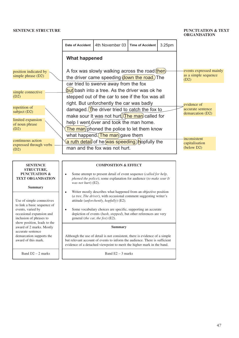#### **SENTENCE STRUCTURE PUNCTUATION & TEXT ORGANISATION**

|                                                                                                                                                                     | <b>Date of Accident</b>          | 4th November 03                                                                                                                                                                                                                                                                                         | <b>Time of Accident</b> | 3.25pm |                                                         |  |  |
|---------------------------------------------------------------------------------------------------------------------------------------------------------------------|----------------------------------|---------------------------------------------------------------------------------------------------------------------------------------------------------------------------------------------------------------------------------------------------------------------------------------------------------|-------------------------|--------|---------------------------------------------------------|--|--|
|                                                                                                                                                                     | <b>What happened</b>             |                                                                                                                                                                                                                                                                                                         |                         |        |                                                         |  |  |
| position indicated by<br>simple phrase (D2)                                                                                                                         |                                  | A fox was slowly walking across the road (then)<br>the driver came speeding down the road.) The                                                                                                                                                                                                         |                         |        | events expressed mainly<br>as a simple sequence<br>(D2) |  |  |
| simple connective<br>(D2)                                                                                                                                           |                                  | car tried to swerve away from the fox<br>(but) bash into a tree. As the driver was ok he<br>stepped out of the car to see if the fox was all<br>right. But unforchently the car was badly                                                                                                               |                         |        | evidence of                                             |  |  |
| repetition of<br>subject (D2)<br>limited expansion                                                                                                                  |                                  | damaged. The driver tried to catch the fox to<br>make sour It was not hurt The man called for                                                                                                                                                                                                           |                         |        | accurate sentence<br>demarcation (D2)                   |  |  |
| of noun phrase<br>(D2)                                                                                                                                              |                                  | help I went/over and took the man home.<br>The man phoned the police to let them know<br>what happend. The man gave them                                                                                                                                                                                |                         |        | inconsistent                                            |  |  |
| continuous action<br>expressed through verbs<br>(D2)                                                                                                                |                                  | a ruth detail) of he was speeding. hopfully the<br>man and the fox was not hurt.                                                                                                                                                                                                                        |                         |        |                                                         |  |  |
| <b>SENTENCE</b><br><b>STRUCTURE,</b><br><b>PUNCTUATION &amp;</b><br><b>TEXT ORGANISATION</b><br><b>Summary</b>                                                      | $\bullet$<br>was not hurt) (E2). | <b>COMPOSITION &amp; EFFECT</b><br>Some attempt to present detail of event sequence (called for help,<br>phoned the police); some explanation for audience (to make sour It<br>Writer mostly describes what happened from an objective position                                                         |                         |        |                                                         |  |  |
| Use of simple connectives<br>to link a basic sequence of<br>events, varied by<br>occasional expansion and<br>inclusion of phrases to<br>show position, leads to the |                                  | (a tree, The driver), with occasional comment suggesting writer's<br>attitude ( <i>unforchently</i> , <i>hopfully</i> ) (E2).<br>Some vocabulary choices are specific, supporting an accurate<br>depiction of events (bash, stepped), but other references are very<br>general (the car, the fox) (E2). |                         |        |                                                         |  |  |
| award of 2 marks. Mostly<br>accurate sentence<br>demarcation supports the<br>award of this mark.                                                                    |                                  | <b>Summary</b><br>Although the use of detail is not consistent, there is evidence of a simple<br>but relevant account of events to inform the audience. There is sufficient<br>evidence of a detached viewpoint to merit the higher mark in the band.                                                   |                         |        |                                                         |  |  |
| Band $D2 - 2$ marks                                                                                                                                                 |                                  | Band $E2 - 3$ marks                                                                                                                                                                                                                                                                                     |                         |        |                                                         |  |  |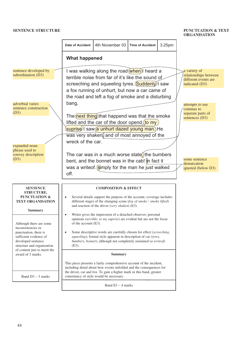#### **SENTENCE STRUCTURE PUNCTUATION & TEXT**

# **ORGANISATION**



48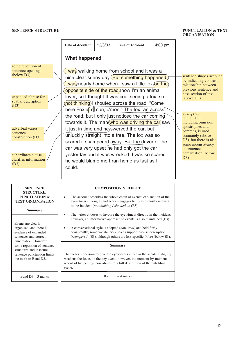#### **SENTENCE STRUCTURE PUNCTUATION & TEXT ORGANISATION**

|                                                                                                                                                                                                                         | <b>Date of Accident</b> | 12/3/03 | <b>Time of Accident</b>                                                                                                                                                                                                                                                                                                                                                                                                                                                                                                                                                                                                                                                                                                                                               | $4:00$ pm |                                                                                                                                                                                                                                                                                                                                                     |
|-------------------------------------------------------------------------------------------------------------------------------------------------------------------------------------------------------------------------|-------------------------|---------|-----------------------------------------------------------------------------------------------------------------------------------------------------------------------------------------------------------------------------------------------------------------------------------------------------------------------------------------------------------------------------------------------------------------------------------------------------------------------------------------------------------------------------------------------------------------------------------------------------------------------------------------------------------------------------------------------------------------------------------------------------------------------|-----------|-----------------------------------------------------------------------------------------------------------------------------------------------------------------------------------------------------------------------------------------------------------------------------------------------------------------------------------------------------|
|                                                                                                                                                                                                                         | <b>What happened</b>    |         |                                                                                                                                                                                                                                                                                                                                                                                                                                                                                                                                                                                                                                                                                                                                                                       |           |                                                                                                                                                                                                                                                                                                                                                     |
| some repetition of<br>sentence openings<br>(below D3)<br>expanded phrase for<br>spatial description<br>(D3)<br>adverbial varies<br>sentence<br>construction (D3)<br>subordinate clause<br>clarifies information<br>(D3) | could.                  |         | I was walking home from school and it was a<br>nice clear sunny day. But something happened.<br><b>I</b> was nearly home when I saw a little fox (on the)<br>opposite side of the road, now I'm an animal<br>lover, so I thought It was cool seeing a fox, so,<br>not thinking) shouted across the road, "Come<br>here Foxie, cmon, c'mon." The fox ran across<br>the road, but I only just noticed the car coming<br>towards it. The man who was driving the car saw<br>it just in time and he/swerved the car, but<br>unluckily straight into a tree. The fox was so<br>scared it scampered away. But the driver of the<br>car was very upset he had only got the car<br>yesterday and it was wrecked. I was so scared<br>he would blame me I ran home as fast as I |           | sentence shapes account<br>by indicating contrast<br>relationship between<br>previous sentence and<br>next section of text<br>(above D3)<br>a range of<br>punctuation,<br>including omission<br>apostrophes and<br>commas, is used<br>accurately (above<br>D3), but there is also<br>some inconsistency<br>in sentence<br>demarcation (below<br>D3) |
| <b>SENTENCE</b><br><b>STRUCTURE,</b><br><b>PUNCTUATION &amp;</b><br><b>TEXT ORGANISATION</b><br><b>Summary</b>                                                                                                          | ٠                       |         | <b>COMPOSITION &amp; EFFECT</b><br>The account describes the whole chain of events; explanation of the<br>eyewitness's thoughts and actions engages but is also mostly relevant<br>to the incident (not thinking I shouted) $(E3)$ .<br>The writer chooses to involve the eyewitness directly in the incident;                                                                                                                                                                                                                                                                                                                                                                                                                                                        |           |                                                                                                                                                                                                                                                                                                                                                     |
| Events are clearly<br>organised, and there is<br>evidence of expanded<br>sentences and correct<br>punctuation. However,                                                                                                 | $\bullet$               |         | however, an informative approach to events is also maintained (E3).<br>A conversational style is adopted (now, cool) and held fairly<br>consistently; some vocabulary choices support precise description<br>(scampered) (E3), although others are less specific (nice) (below E3).                                                                                                                                                                                                                                                                                                                                                                                                                                                                                   |           |                                                                                                                                                                                                                                                                                                                                                     |
| some repetition of sentence                                                                                                                                                                                             |                         |         | Summary                                                                                                                                                                                                                                                                                                                                                                                                                                                                                                                                                                                                                                                                                                                                                               |           |                                                                                                                                                                                                                                                                                                                                                     |
| structures and insecure<br>sentence punctuation limits<br>the mark to Band D3.                                                                                                                                          | scene.                  |         | The writer's decision to give the eyewitness a role in the accident slightly<br>weakens the focus on the key event; however, the moment-by-moment<br>record of happenings contributes to a full description of the unfolding                                                                                                                                                                                                                                                                                                                                                                                                                                                                                                                                          |           |                                                                                                                                                                                                                                                                                                                                                     |
| Band $D3 - 3$ marks                                                                                                                                                                                                     |                         |         | Band $E3 - 4$ marks                                                                                                                                                                                                                                                                                                                                                                                                                                                                                                                                                                                                                                                                                                                                                   |           |                                                                                                                                                                                                                                                                                                                                                     |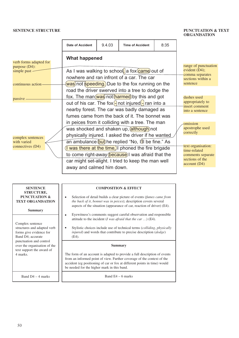#### **SENTENCE STRUCTURE PUNCTUATION & TEXT**

# **ORGANISATION**

|                                            | <b>Date of Accident</b> | 9.4.03                                                                                                                                                  | <b>Time of Accident</b>                                                                                                                                       | 8:35 |  |                                                                                            |  |
|--------------------------------------------|-------------------------|---------------------------------------------------------------------------------------------------------------------------------------------------------|---------------------------------------------------------------------------------------------------------------------------------------------------------------|------|--|--------------------------------------------------------------------------------------------|--|
| verb forms adapted for<br>purpose $(D4)$ : | <b>What happened</b>    |                                                                                                                                                         |                                                                                                                                                               |      |  | range of punctuation                                                                       |  |
| simple past -                              |                         |                                                                                                                                                         | As I was walking to school, a fox came out of                                                                                                                 |      |  | evident $(D4)$ ;<br>comma separates                                                        |  |
| continuous action                          |                         |                                                                                                                                                         | nowhere and ran infront of a car. The car<br>was)not speeding.)Due to the fox running on the                                                                  |      |  | sections within a<br>sentence                                                              |  |
|                                            |                         |                                                                                                                                                         | road the driver swerved into a tree to dodge the                                                                                                              |      |  |                                                                                            |  |
| passive                                    |                         | fox. The man (was) not (harmed) by this and got<br>out of his car. The fox $\left[\frac{1}{2}\right]$ not injured $\left[\frac{1}{2}\right]$ ran into a |                                                                                                                                                               |      |  |                                                                                            |  |
|                                            |                         |                                                                                                                                                         | nearby forest. The car was badly damaged as                                                                                                                   |      |  | insert comment<br>into a sentence                                                          |  |
|                                            |                         |                                                                                                                                                         | fumes came from the back of it. The bonnet was                                                                                                                |      |  |                                                                                            |  |
|                                            |                         |                                                                                                                                                         | in peices from it colliding with a tree. The man<br>was shocked and shaken up, although) not<br>physically injured. I asked the driver if he wanted           |      |  | omission<br>apostrophe used<br>correctly                                                   |  |
| complex sentences<br>with varied           |                         |                                                                                                                                                         | an ambulance but he replied "No, I'll be fine." As                                                                                                            |      |  |                                                                                            |  |
| connectives (D4)                           |                         |                                                                                                                                                         | I was there at the time.) phoned the fire brigade<br>to come right-away (because) I was afraid that the<br>car might set-alight. I tried to keep the man well |      |  | text organisation:<br>time-related<br>comments separate<br>sections of the<br>account (D4) |  |
|                                            |                         | away and calmed him down.                                                                                                                               |                                                                                                                                                               |      |  |                                                                                            |  |

| <b>SENTENCE</b><br><b>STRUCTURE,</b>                                                            | <b>COMPOSITION &amp; EFFECT</b>                                                                                                                                                                                                                                                 |
|-------------------------------------------------------------------------------------------------|---------------------------------------------------------------------------------------------------------------------------------------------------------------------------------------------------------------------------------------------------------------------------------|
| PUNCTUATION &<br><b>TEXT ORGANISATION</b>                                                       | Selection of detail builds a clear picture of events (fumes came from<br>the back of it, bonnet was in peices); description covers several<br>aspects of the situation (appearance of car, reaction of driver) (E4).                                                            |
| <b>Summary</b>                                                                                  | Eyewitness's comments suggest careful observation and responsible<br>attitude to the incident ( $I$ was afraid that the car ) (E4).                                                                                                                                             |
| Complex sentence<br>structures and adapted verb<br>forms give evidence for<br>Band D4; accurate | Stylistic choices include use of technical terms (colliding, physically<br><i>injured</i> ) and words that contribute to precise description ( <i>dodge</i> )<br>$(E4)$ .                                                                                                       |
| punctuation and control<br>over the organisation of the                                         | Summary                                                                                                                                                                                                                                                                         |
| text support the award of<br>4 marks.                                                           | The form of an account is adapted to provide a full description of events<br>from an informed point of view. Further coverage of the context of the<br>accident (eg positioning of car or fox at different points in time) would<br>be needed for the higher mark in this band. |
| Band $D4 - 4$ marks                                                                             | Band $E4 - 6$ marks                                                                                                                                                                                                                                                             |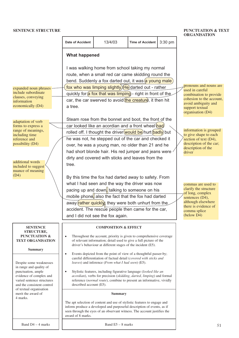#### **SENTENCE STRUCTURE** PUNCTUATION & TEXT<br> **PUNCTUATION & TEXT ORGANISATION**

| 3:30 pm<br>13/4/03<br><b>Date of Accident</b><br><b>Time of Accident</b><br><b>What happened</b><br>I was walking home from school taking my normal<br>route, when a small red car came skidding round the<br>bend. Suddenly a fox darted out, it was a young male)<br>pronouns and nouns are<br>fox who was limping slightly. (He) darted out - rather<br>expanded noun phrases<br>used in careful<br>include subordinate<br>quickly for a fox that was limping) - right in front of the<br>combination to provide<br>clauses, conveying<br>cohesion to the account,<br>car, the car swerved to avoid the creature, it then hit<br>information<br>avoid ambiguity and<br>economically (D4)<br>a tree.<br>support textual<br>organisation (D4)<br>Steam rose from the bonnet and boot, the front of the<br>adaptation of verb<br>car looked like an acordian and a front wheel had<br>forms to express a<br>range of meanings,<br>information is grouped<br>rolled off. I thought the driver (would be) hurt (badly) but<br>including time<br>to give shape to each<br>he was not, he stepped out of the car and checked it<br>section of text (D4),<br>reference and<br>description of the car;<br>possibility (D4)<br>over, he was a young man, no older than 21 and he<br>description of the<br>had short blonde hair. His red jumper and jeans were<br>driver<br>dirty and covered with sticks and leaves from the<br>additional words<br>tree.<br>included to suggest<br>nuance of meaning<br>(D4)<br>By this time the fox had darted away to safety. From<br>what I had seen and the way the driver was now<br>commas are used to<br>clarify the structure<br>pacing up and down, talking to someone on his<br>of long, complex<br>mobile phone, also the fact that the fox had darted<br>sentences (D4),<br>although elsewhere<br>away (rather quickly) they were both unhurt from the<br>there is evidence of<br>accident. The rescue people then came for the car,<br>comma splice<br>(below D4)<br>and I did not see the fox again.<br><b>SENTENCE</b><br><b>COMPOSITION &amp; EFFECT</b><br><b>STRUCTURE,</b><br><b>PUNCTUATION &amp;</b><br>Throughout the account, priority is given to comprehensive coverage<br>$\bullet$<br><b>TEXT ORGANISATION</b><br>of relevant information; detail used to give a full picture of the<br>driver's behaviour at different stages of the incident (E5).<br><b>Summary</b><br>Events depicted from the point of view of a thoughtful passer-by;<br>$\bullet$<br>careful differentiation of factual detail (covered with sticks and<br>leaves) and inference (From what I had seen) (E5).<br>Despite some weaknesses<br>in range and quality of<br>punctuation, ample<br>Stylistic features, including figurative language (looked like an<br>$\bullet$<br>acordian), verbs for precision (skidding, darted, limping) and formal<br>evidence of complex and<br>varied sentence structures<br>reference (normal route), combine to present an informative, vividly<br>and the consistent control<br>described account (E5).<br>of textual organisation<br>merit the award of<br><b>Summary</b><br>4 marks.<br>The apt selection of content and use of stylistic features to engage and<br>inform produce a developed and purposeful description of events, as if<br>seen through the eyes of an observant witness. The account justifies the<br>award of 8 marks.<br>Band D4 - 4 marks<br>Band $E5 - 8$ marks<br>51 |  |  |  | UNUANISATIUN |
|---------------------------------------------------------------------------------------------------------------------------------------------------------------------------------------------------------------------------------------------------------------------------------------------------------------------------------------------------------------------------------------------------------------------------------------------------------------------------------------------------------------------------------------------------------------------------------------------------------------------------------------------------------------------------------------------------------------------------------------------------------------------------------------------------------------------------------------------------------------------------------------------------------------------------------------------------------------------------------------------------------------------------------------------------------------------------------------------------------------------------------------------------------------------------------------------------------------------------------------------------------------------------------------------------------------------------------------------------------------------------------------------------------------------------------------------------------------------------------------------------------------------------------------------------------------------------------------------------------------------------------------------------------------------------------------------------------------------------------------------------------------------------------------------------------------------------------------------------------------------------------------------------------------------------------------------------------------------------------------------------------------------------------------------------------------------------------------------------------------------------------------------------------------------------------------------------------------------------------------------------------------------------------------------------------------------------------------------------------------------------------------------------------------------------------------------------------------------------------------------------------------------------------------------------------------------------------------------------------------------------------------------------------------------------------------------------------------------------------------------------------------------------------------------------------------------------------------------------------------------------------------------------------------------------------------------------------------------------------------------------------------------------------------------------------------------------------------------------------------------------------------------------------------------------------------------------------------------------------------------------------------------------------------------------------------------------------------------------------------------------------------------------------------------------------------------------------------------|--|--|--|--------------|
|                                                                                                                                                                                                                                                                                                                                                                                                                                                                                                                                                                                                                                                                                                                                                                                                                                                                                                                                                                                                                                                                                                                                                                                                                                                                                                                                                                                                                                                                                                                                                                                                                                                                                                                                                                                                                                                                                                                                                                                                                                                                                                                                                                                                                                                                                                                                                                                                                                                                                                                                                                                                                                                                                                                                                                                                                                                                                                                                                                                                                                                                                                                                                                                                                                                                                                                                                                                                                                                                     |  |  |  |              |
|                                                                                                                                                                                                                                                                                                                                                                                                                                                                                                                                                                                                                                                                                                                                                                                                                                                                                                                                                                                                                                                                                                                                                                                                                                                                                                                                                                                                                                                                                                                                                                                                                                                                                                                                                                                                                                                                                                                                                                                                                                                                                                                                                                                                                                                                                                                                                                                                                                                                                                                                                                                                                                                                                                                                                                                                                                                                                                                                                                                                                                                                                                                                                                                                                                                                                                                                                                                                                                                                     |  |  |  |              |
|                                                                                                                                                                                                                                                                                                                                                                                                                                                                                                                                                                                                                                                                                                                                                                                                                                                                                                                                                                                                                                                                                                                                                                                                                                                                                                                                                                                                                                                                                                                                                                                                                                                                                                                                                                                                                                                                                                                                                                                                                                                                                                                                                                                                                                                                                                                                                                                                                                                                                                                                                                                                                                                                                                                                                                                                                                                                                                                                                                                                                                                                                                                                                                                                                                                                                                                                                                                                                                                                     |  |  |  |              |
|                                                                                                                                                                                                                                                                                                                                                                                                                                                                                                                                                                                                                                                                                                                                                                                                                                                                                                                                                                                                                                                                                                                                                                                                                                                                                                                                                                                                                                                                                                                                                                                                                                                                                                                                                                                                                                                                                                                                                                                                                                                                                                                                                                                                                                                                                                                                                                                                                                                                                                                                                                                                                                                                                                                                                                                                                                                                                                                                                                                                                                                                                                                                                                                                                                                                                                                                                                                                                                                                     |  |  |  |              |
|                                                                                                                                                                                                                                                                                                                                                                                                                                                                                                                                                                                                                                                                                                                                                                                                                                                                                                                                                                                                                                                                                                                                                                                                                                                                                                                                                                                                                                                                                                                                                                                                                                                                                                                                                                                                                                                                                                                                                                                                                                                                                                                                                                                                                                                                                                                                                                                                                                                                                                                                                                                                                                                                                                                                                                                                                                                                                                                                                                                                                                                                                                                                                                                                                                                                                                                                                                                                                                                                     |  |  |  |              |
|                                                                                                                                                                                                                                                                                                                                                                                                                                                                                                                                                                                                                                                                                                                                                                                                                                                                                                                                                                                                                                                                                                                                                                                                                                                                                                                                                                                                                                                                                                                                                                                                                                                                                                                                                                                                                                                                                                                                                                                                                                                                                                                                                                                                                                                                                                                                                                                                                                                                                                                                                                                                                                                                                                                                                                                                                                                                                                                                                                                                                                                                                                                                                                                                                                                                                                                                                                                                                                                                     |  |  |  |              |
|                                                                                                                                                                                                                                                                                                                                                                                                                                                                                                                                                                                                                                                                                                                                                                                                                                                                                                                                                                                                                                                                                                                                                                                                                                                                                                                                                                                                                                                                                                                                                                                                                                                                                                                                                                                                                                                                                                                                                                                                                                                                                                                                                                                                                                                                                                                                                                                                                                                                                                                                                                                                                                                                                                                                                                                                                                                                                                                                                                                                                                                                                                                                                                                                                                                                                                                                                                                                                                                                     |  |  |  |              |
|                                                                                                                                                                                                                                                                                                                                                                                                                                                                                                                                                                                                                                                                                                                                                                                                                                                                                                                                                                                                                                                                                                                                                                                                                                                                                                                                                                                                                                                                                                                                                                                                                                                                                                                                                                                                                                                                                                                                                                                                                                                                                                                                                                                                                                                                                                                                                                                                                                                                                                                                                                                                                                                                                                                                                                                                                                                                                                                                                                                                                                                                                                                                                                                                                                                                                                                                                                                                                                                                     |  |  |  |              |
|                                                                                                                                                                                                                                                                                                                                                                                                                                                                                                                                                                                                                                                                                                                                                                                                                                                                                                                                                                                                                                                                                                                                                                                                                                                                                                                                                                                                                                                                                                                                                                                                                                                                                                                                                                                                                                                                                                                                                                                                                                                                                                                                                                                                                                                                                                                                                                                                                                                                                                                                                                                                                                                                                                                                                                                                                                                                                                                                                                                                                                                                                                                                                                                                                                                                                                                                                                                                                                                                     |  |  |  |              |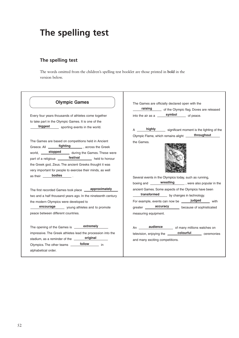# **The spelling test**

## **The spelling test**

The words omitted from the children's spelling test booklet are those printed in **bold** in the version below.

| <b>Olympic Games</b>                                         | The Games are officially declared open with the<br>raising of the Olympic flag. Doves are released |
|--------------------------------------------------------------|----------------------------------------------------------------------------------------------------|
| Every four years thousands of athletes come together         | into the air as a $\frac{\text{symbol}}{\text{symbol}}$ of peace.                                  |
| to take part in the Olympic Games. It is one of the          |                                                                                                    |
| biggest<br>sporting events in the world.                     | highly significant moment is the lighting of the                                                   |
|                                                              | throughout<br>Olympic Flame, which remains alight ____                                             |
| The Games are based on competitions held in Ancient          | the Games.                                                                                         |
| Greece. All <b>fighting</b> , across the Greek               |                                                                                                    |
| world, <b>stopped</b> during the Games. These were           |                                                                                                    |
| part of a religious ________ <b>festival</b> held to honour  |                                                                                                    |
| the Greek god, Zeus. The ancient Greeks thought it was       |                                                                                                    |
| very important for people to exercise their minds, as well   |                                                                                                    |
| as their <b>bodies</b>                                       | Several events in the Olympics today, such as running,                                             |
|                                                              | boxing and <b>wrestling</b> , were also popular in the                                             |
| The first recorded Games took place _____ approximately      | ancient Games. Some aspects of the Olympics have been                                              |
| two and a half thousand years ago. In the nineteenth century | transformed by changes in technology.                                                              |
| the modern Olympics were developed to                        | For example, events can now be <b>judged</b> with                                                  |
| encourage young athletes and to promote                      | greater <b>accuracy</b> because of sophisticated                                                   |
| peace between different countries.                           | measuring equipment.                                                                               |
| The opening of the Games is ______ extremely                 | An ______ <b>audience</b> _______ of many millions watches on                                      |
| impressive. The Greek athletes lead the procession into the  | television, enjoying the <b>colourful</b> ceremonies                                               |
| original<br>stadium, as a reminder of the                    | and many exciting competitions.                                                                    |
| Olympics. The other teams ________ follow ________ in        |                                                                                                    |
| alphabetical order.                                          |                                                                                                    |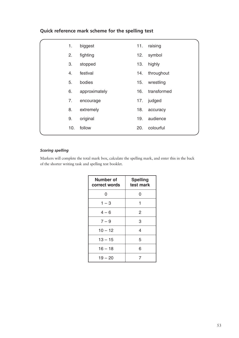|  | Quick reference mark scheme for the spelling test |  |  |  |  |
|--|---------------------------------------------------|--|--|--|--|
|--|---------------------------------------------------|--|--|--|--|

| 1.  | biggest       | 11. | raising     |  |
|-----|---------------|-----|-------------|--|
| 2.  | fighting      | 12. | symbol      |  |
| 3.  | stopped       | 13. | highly      |  |
| 4.  | festival      | 14. | throughout  |  |
| 5.  | bodies        | 15. | wrestling   |  |
| 6.  | approximately | 16. | transformed |  |
| 7.  | encourage     | 17. | judged      |  |
| 8.  | extremely     | 18. | accuracy    |  |
| 9.  | original      | 19. | audience    |  |
| 10. | follow        | 20. | colourful   |  |
|     |               |     |             |  |

### *Scoring spelling*

Markers will complete the total mark box, calculate the spelling mark, and enter this in the back of the shorter writing task and spelling test booklet.

| <b>Number of</b><br>correct words | <b>Spelling</b><br>test mark |
|-----------------------------------|------------------------------|
| 0                                 | O                            |
| $1 - 3$                           | 1                            |
| $4 - 6$                           | $\overline{2}$               |
| $7 - 9$                           | 3                            |
| $10 - 12$                         | 4                            |
| $13 - 15$                         | 5                            |
| $16 - 18$                         | 6                            |
| $19 - 20$                         |                              |